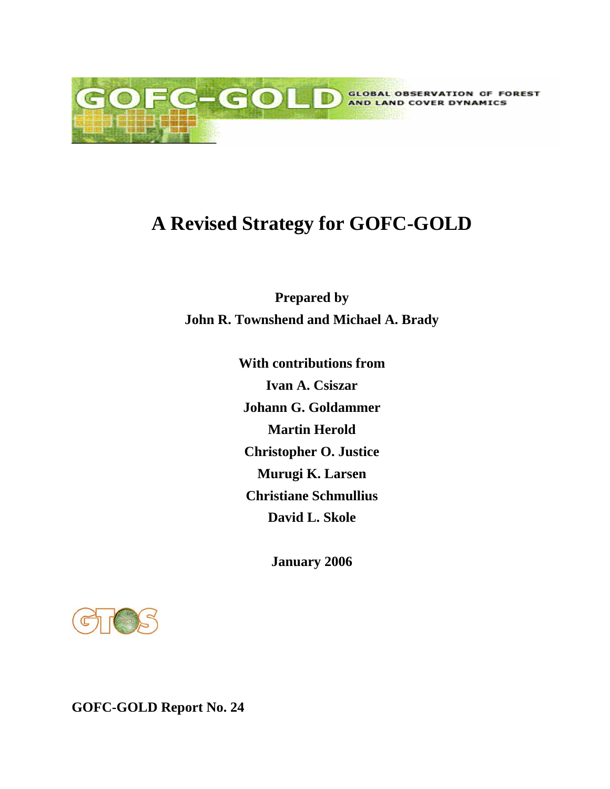

# **A Revised Strategy for GOFC-GOLD**

**Prepared by John R. Townshend and Michael A. Brady** 

> **With contributions from Ivan A. Csiszar Johann G. Goldammer Martin Herold Christopher O. Justice Murugi K. Larsen Christiane Schmullius David L. Skole**

> > **January 2006**

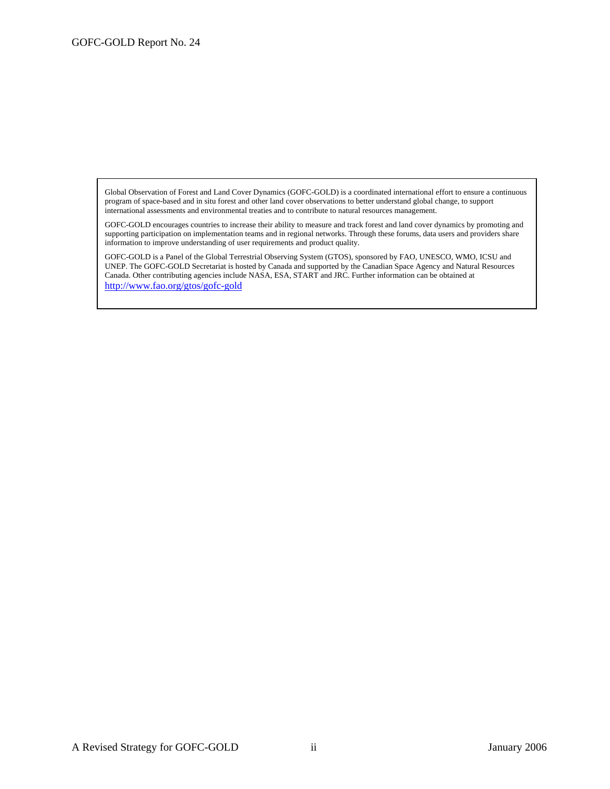Global Observation of Forest and Land Cover Dynamics (GOFC-GOLD) is a coordinated international effort to ensure a continuous program of space-based and in situ forest and other land cover observations to better understand global change, to support international assessments and environmental treaties and to contribute to natural resources management.

GOFC-GOLD encourages countries to increase their ability to measure and track forest and land cover dynamics by promoting and supporting participation on implementation teams and in regional networks. Through these forums, data users and providers share information to improve understanding of user requirements and product quality.

GOFC-GOLD is a Panel of the Global Terrestrial Observing System (GTOS), sponsored by FAO, UNESCO, WMO, ICSU and UNEP. The GOFC-GOLD Secretariat is hosted by Canada and supported by the Canadian Space Agency and Natural Resources Canada. Other contributing agencies include NASA, ESA, START and JRC. Further information can be obtained at http://www.fao.org/gtos/gofc-gold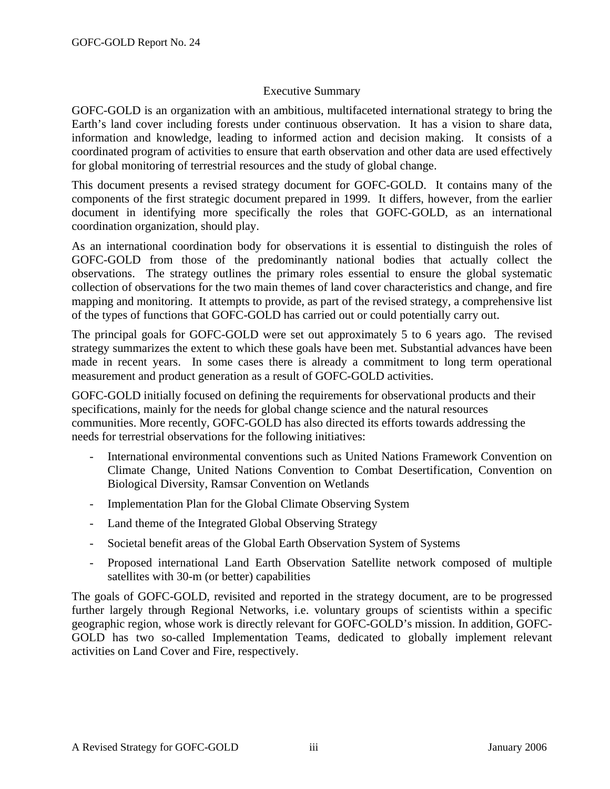### Executive Summary

GOFC-GOLD is an organization with an ambitious, multifaceted international strategy to bring the Earth's land cover including forests under continuous observation. It has a vision to share data, information and knowledge, leading to informed action and decision making. It consists of a coordinated program of activities to ensure that earth observation and other data are used effectively for global monitoring of terrestrial resources and the study of global change.

This document presents a revised strategy document for GOFC-GOLD. It contains many of the components of the first strategic document prepared in 1999. It differs, however, from the earlier document in identifying more specifically the roles that GOFC-GOLD, as an international coordination organization, should play.

As an international coordination body for observations it is essential to distinguish the roles of GOFC-GOLD from those of the predominantly national bodies that actually collect the observations. The strategy outlines the primary roles essential to ensure the global systematic collection of observations for the two main themes of land cover characteristics and change, and fire mapping and monitoring. It attempts to provide, as part of the revised strategy, a comprehensive list of the types of functions that GOFC-GOLD has carried out or could potentially carry out.

The principal goals for GOFC-GOLD were set out approximately 5 to 6 years ago. The revised strategy summarizes the extent to which these goals have been met. Substantial advances have been made in recent years. In some cases there is already a commitment to long term operational measurement and product generation as a result of GOFC-GOLD activities.

GOFC-GOLD initially focused on defining the requirements for observational products and their specifications, mainly for the needs for global change science and the natural resources communities. More recently, GOFC-GOLD has also directed its efforts towards addressing the needs for terrestrial observations for the following initiatives:

- International environmental conventions such as United Nations Framework Convention on Climate Change, United Nations Convention to Combat Desertification, Convention on Biological Diversity, Ramsar Convention on Wetlands
- Implementation Plan for the Global Climate Observing System
- Land theme of the Integrated Global Observing Strategy
- Societal benefit areas of the Global Earth Observation System of Systems
- Proposed international Land Earth Observation Satellite network composed of multiple satellites with 30-m (or better) capabilities

The goals of GOFC-GOLD, revisited and reported in the strategy document, are to be progressed further largely through Regional Networks, i.e. voluntary groups of scientists within a specific geographic region, whose work is directly relevant for GOFC-GOLD's mission. In addition, GOFC-GOLD has two so-called Implementation Teams, dedicated to globally implement relevant activities on Land Cover and Fire, respectively.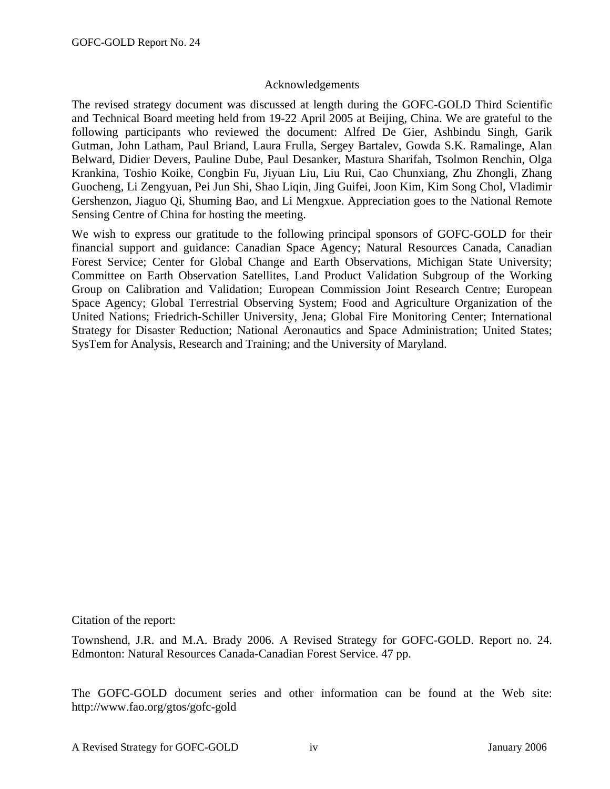#### Acknowledgements

The revised strategy document was discussed at length during the GOFC-GOLD Third Scientific and Technical Board meeting held from 19-22 April 2005 at Beijing, China. We are grateful to the following participants who reviewed the document: Alfred De Gier, Ashbindu Singh, Garik Gutman, John Latham, Paul Briand, Laura Frulla, Sergey Bartalev, Gowda S.K. Ramalinge, Alan Belward, Didier Devers, Pauline Dube, Paul Desanker, Mastura Sharifah, Tsolmon Renchin, Olga Krankina, Toshio Koike, Congbin Fu, Jiyuan Liu, Liu Rui, Cao Chunxiang, Zhu Zhongli, Zhang Guocheng, Li Zengyuan, Pei Jun Shi, Shao Liqin, Jing Guifei, Joon Kim, Kim Song Chol, Vladimir Gershenzon, Jiaguo Qi, Shuming Bao, and Li Mengxue. Appreciation goes to the National Remote Sensing Centre of China for hosting the meeting.

We wish to express our gratitude to the following principal sponsors of GOFC-GOLD for their financial support and guidance: Canadian Space Agency; Natural Resources Canada, Canadian Forest Service; Center for Global Change and Earth Observations, Michigan State University; Committee on Earth Observation Satellites, Land Product Validation Subgroup of the Working Group on Calibration and Validation; European Commission Joint Research Centre; European Space Agency; Global Terrestrial Observing System; Food and Agriculture Organization of the United Nations; Friedrich-Schiller University, Jena; Global Fire Monitoring Center; International Strategy for Disaster Reduction; National Aeronautics and Space Administration; United States; SysTem for Analysis, Research and Training; and the University of Maryland.

Citation of the report:

Townshend, J.R. and M.A. Brady 2006. A Revised Strategy for GOFC-GOLD. Report no. 24. Edmonton: Natural Resources Canada-Canadian Forest Service. 47 pp.

The GOFC-GOLD document series and other information can be found at the Web site: http://www.fao.org/gtos/gofc-gold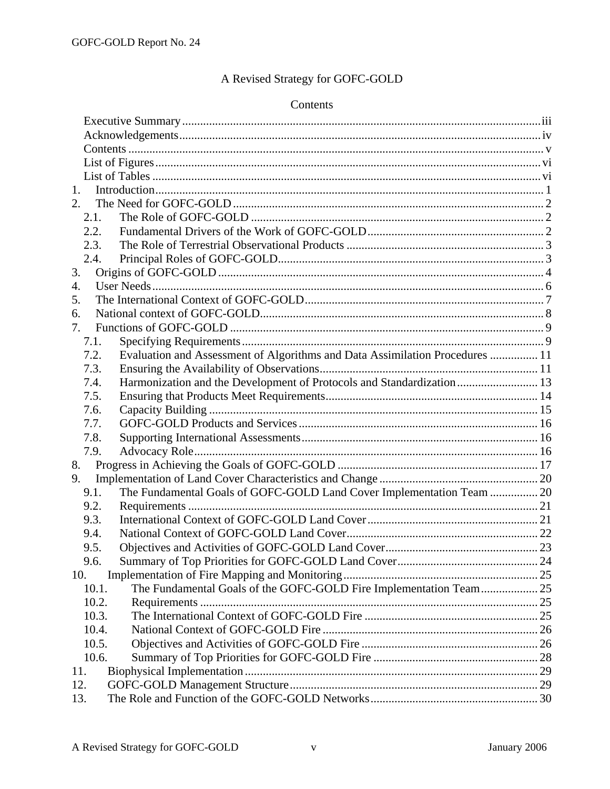# A Revised Strategy for GOFC-GOLD

#### Contents

| 1.    |                                                                              |  |
|-------|------------------------------------------------------------------------------|--|
| 2.    |                                                                              |  |
| 2.1.  |                                                                              |  |
| 2.2.  |                                                                              |  |
| 2.3.  |                                                                              |  |
| 2.4.  |                                                                              |  |
| 3.    |                                                                              |  |
| 4.    |                                                                              |  |
| 5.    |                                                                              |  |
| 6.    |                                                                              |  |
| 7.    |                                                                              |  |
| 7.1.  |                                                                              |  |
| 7.2.  | Evaluation and Assessment of Algorithms and Data Assimilation Procedures  11 |  |
| 7.3.  |                                                                              |  |
| 7.4.  | Harmonization and the Development of Protocols and Standardization 13        |  |
| 7.5.  |                                                                              |  |
| 7.6.  |                                                                              |  |
| 7.7.  |                                                                              |  |
| 7.8.  |                                                                              |  |
| 7.9.  |                                                                              |  |
| 8.    |                                                                              |  |
| 9.    |                                                                              |  |
| 9.1.  | The Fundamental Goals of GOFC-GOLD Land Cover Implementation Team  20        |  |
| 9.2.  |                                                                              |  |
| 9.3.  |                                                                              |  |
| 9.4.  |                                                                              |  |
| 9.5.  |                                                                              |  |
| 9.6.  |                                                                              |  |
| 10.   |                                                                              |  |
| 10.1. | The Fundamental Goals of the GOFC-GOLD Fire Implementation Team 25           |  |
| 10.2. |                                                                              |  |
| 10.3. |                                                                              |  |
| 10.4. |                                                                              |  |
| 10.5. |                                                                              |  |
| 10.6. |                                                                              |  |
| 11.   |                                                                              |  |
| 12.   |                                                                              |  |
| 13.   |                                                                              |  |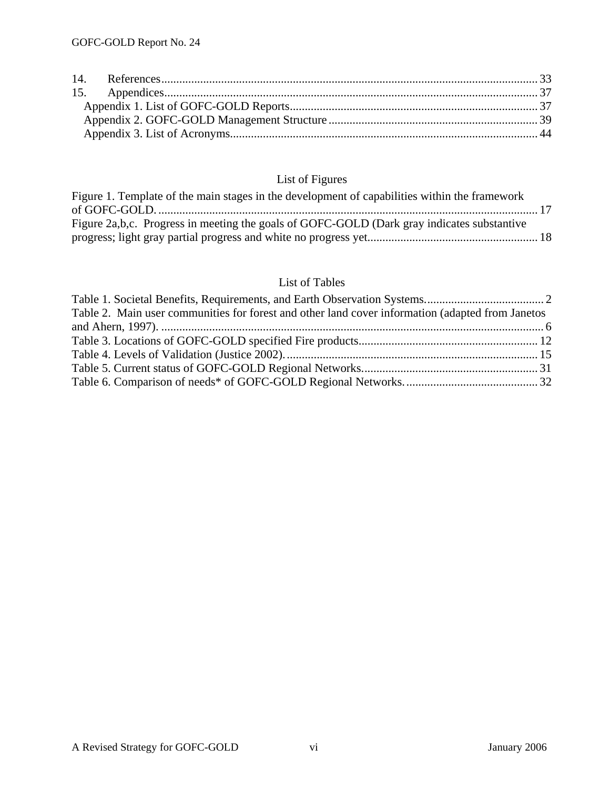## List of Figures

| Figure 1. Template of the main stages in the development of capabilities within the framework |  |
|-----------------------------------------------------------------------------------------------|--|
|                                                                                               |  |
| Figure 2a,b,c. Progress in meeting the goals of GOFC-GOLD (Dark gray indicates substantive    |  |
|                                                                                               |  |

### List of Tables

| Table 2. Main user communities for forest and other land cover information (adapted from Janetos |  |
|--------------------------------------------------------------------------------------------------|--|
|                                                                                                  |  |
|                                                                                                  |  |
|                                                                                                  |  |
|                                                                                                  |  |
|                                                                                                  |  |
|                                                                                                  |  |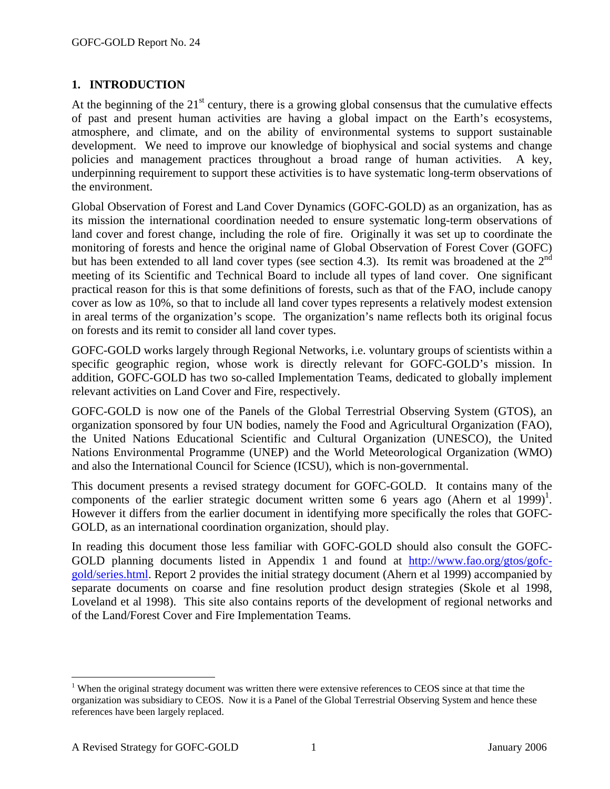### **1. INTRODUCTION**

At the beginning of the  $21<sup>st</sup>$  century, there is a growing global consensus that the cumulative effects of past and present human activities are having a global impact on the Earth's ecosystems, atmosphere, and climate, and on the ability of environmental systems to support sustainable development. We need to improve our knowledge of biophysical and social systems and change policies and management practices throughout a broad range of human activities. A key, underpinning requirement to support these activities is to have systematic long-term observations of the environment.

Global Observation of Forest and Land Cover Dynamics (GOFC-GOLD) as an organization, has as its mission the international coordination needed to ensure systematic long-term observations of land cover and forest change, including the role of fire. Originally it was set up to coordinate the monitoring of forests and hence the original name of Global Observation of Forest Cover (GOFC) but has been extended to all land cover types (see section 4.3). Its remit was broadened at the  $2<sup>nd</sup>$ meeting of its Scientific and Technical Board to include all types of land cover. One significant practical reason for this is that some definitions of forests, such as that of the FAO, include canopy cover as low as 10%, so that to include all land cover types represents a relatively modest extension in areal terms of the organization's scope. The organization's name reflects both its original focus on forests and its remit to consider all land cover types.

GOFC-GOLD works largely through Regional Networks, i.e. voluntary groups of scientists within a specific geographic region, whose work is directly relevant for GOFC-GOLD's mission. In addition, GOFC-GOLD has two so-called Implementation Teams, dedicated to globally implement relevant activities on Land Cover and Fire, respectively.

GOFC-GOLD is now one of the Panels of the Global Terrestrial Observing System (GTOS), an organization sponsored by four UN bodies, namely the Food and Agricultural Organization (FAO), the United Nations Educational Scientific and Cultural Organization (UNESCO), the United Nations Environmental Programme (UNEP) and the World Meteorological Organization (WMO) and also the International Council for Science (ICSU), which is non-governmental.

This document presents a revised strategy document for GOFC-GOLD. It contains many of the components of the earlier strategic document written some 6 years ago (Ahern et al 1999)<sup>1</sup>. However it differs from the earlier document in identifying more specifically the roles that GOFC-GOLD, as an international coordination organization, should play.

In reading this document those less familiar with GOFC-GOLD should also consult the GOFC-GOLD planning documents listed in Appendix 1 and found at http://www.fao.org/gtos/gofcgold/series.html. Report 2 provides the initial strategy document (Ahern et al 1999) accompanied by separate documents on coarse and fine resolution product design strategies (Skole et al 1998, Loveland et al 1998). This site also contains reports of the development of regional networks and of the Land/Forest Cover and Fire Implementation Teams.

1

<sup>&</sup>lt;sup>1</sup> When the original strategy document was written there were extensive references to CEOS since at that time the organization was subsidiary to CEOS. Now it is a Panel of the Global Terrestrial Observing System and hence these references have been largely replaced.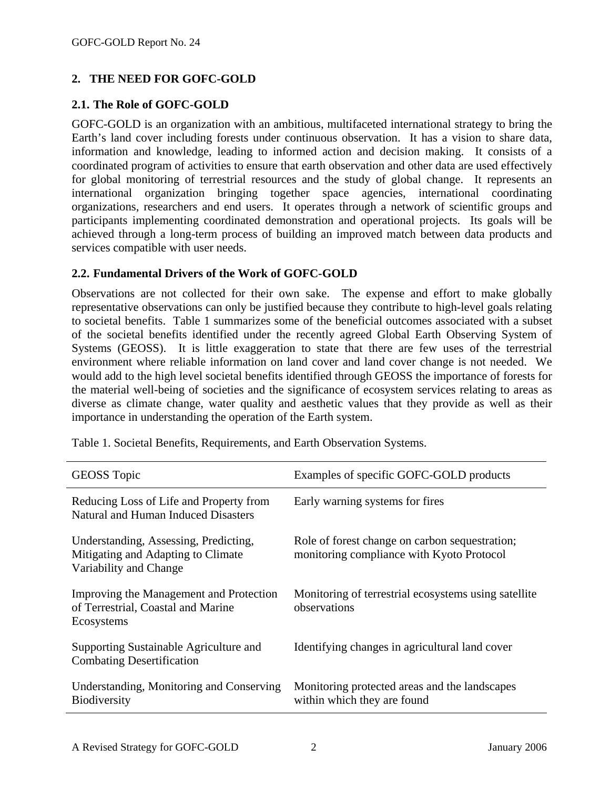### **2. THE NEED FOR GOFC-GOLD**

### **2.1. The Role of GOFC-GOLD**

GOFC-GOLD is an organization with an ambitious, multifaceted international strategy to bring the Earth's land cover including forests under continuous observation. It has a vision to share data, information and knowledge, leading to informed action and decision making. It consists of a coordinated program of activities to ensure that earth observation and other data are used effectively for global monitoring of terrestrial resources and the study of global change. It represents an international organization bringing together space agencies, international coordinating organizations, researchers and end users. It operates through a network of scientific groups and participants implementing coordinated demonstration and operational projects. Its goals will be achieved through a long-term process of building an improved match between data products and services compatible with user needs.

### **2.2. Fundamental Drivers of the Work of GOFC-GOLD**

Observations are not collected for their own sake. The expense and effort to make globally representative observations can only be justified because they contribute to high-level goals relating to societal benefits. Table 1 summarizes some of the beneficial outcomes associated with a subset of the societal benefits identified under the recently agreed Global Earth Observing System of Systems (GEOSS). It is little exaggeration to state that there are few uses of the terrestrial environment where reliable information on land cover and land cover change is not needed. We would add to the high level societal benefits identified through GEOSS the importance of forests for the material well-being of societies and the significance of ecosystem services relating to areas as diverse as climate change, water quality and aesthetic values that they provide as well as their importance in understanding the operation of the Earth system.

| <b>GEOSS</b> Topic                                                                                    | Examples of specific GOFC-GOLD products                                                     |
|-------------------------------------------------------------------------------------------------------|---------------------------------------------------------------------------------------------|
| Reducing Loss of Life and Property from<br>Natural and Human Induced Disasters                        | Early warning systems for fires                                                             |
| Understanding, Assessing, Predicting,<br>Mitigating and Adapting to Climate<br>Variability and Change | Role of forest change on carbon sequestration;<br>monitoring compliance with Kyoto Protocol |
| Improving the Management and Protection<br>of Terrestrial, Coastal and Marine<br>Ecosystems           | Monitoring of terrestrial ecosystems using satellite<br>observations                        |
| Supporting Sustainable Agriculture and<br><b>Combating Desertification</b>                            | Identifying changes in agricultural land cover                                              |
| Understanding, Monitoring and Conserving<br><b>Biodiversity</b>                                       | Monitoring protected areas and the landscapes<br>within which they are found                |

Table 1. Societal Benefits, Requirements, and Earth Observation Systems.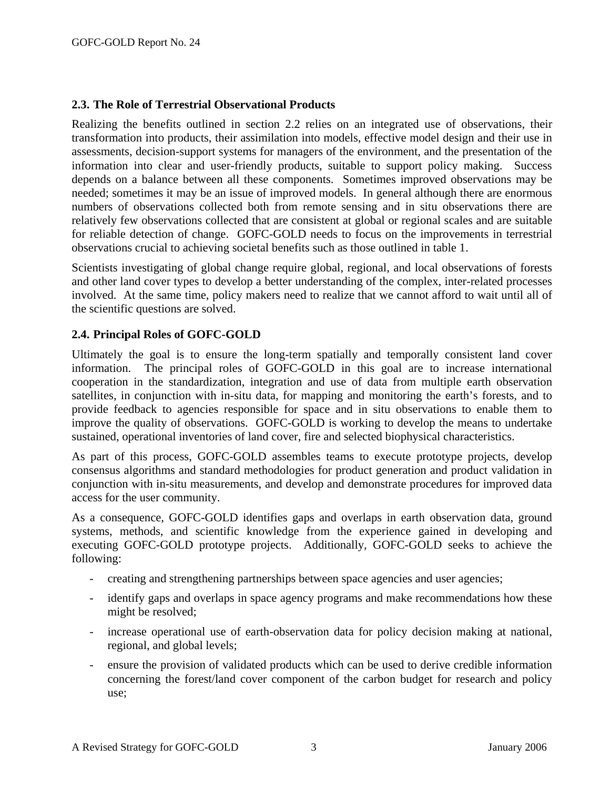### **2.3. The Role of Terrestrial Observational Products**

Realizing the benefits outlined in section 2.2 relies on an integrated use of observations, their transformation into products, their assimilation into models, effective model design and their use in assessments, decision-support systems for managers of the environment, and the presentation of the information into clear and user-friendly products, suitable to support policy making. Success depends on a balance between all these components. Sometimes improved observations may be needed; sometimes it may be an issue of improved models. In general although there are enormous numbers of observations collected both from remote sensing and in situ observations there are relatively few observations collected that are consistent at global or regional scales and are suitable for reliable detection of change. GOFC-GOLD needs to focus on the improvements in terrestrial observations crucial to achieving societal benefits such as those outlined in table 1.

Scientists investigating of global change require global, regional, and local observations of forests and other land cover types to develop a better understanding of the complex, inter-related processes involved. At the same time, policy makers need to realize that we cannot afford to wait until all of the scientific questions are solved.

### **2.4. Principal Roles of GOFC-GOLD**

Ultimately the goal is to ensure the long-term spatially and temporally consistent land cover information. The principal roles of GOFC-GOLD in this goal are to increase international cooperation in the standardization, integration and use of data from multiple earth observation satellites, in conjunction with in-situ data, for mapping and monitoring the earth's forests, and to provide feedback to agencies responsible for space and in situ observations to enable them to improve the quality of observations. GOFC-GOLD is working to develop the means to undertake sustained, operational inventories of land cover, fire and selected biophysical characteristics.

As part of this process, GOFC-GOLD assembles teams to execute prototype projects, develop consensus algorithms and standard methodologies for product generation and product validation in conjunction with in-situ measurements, and develop and demonstrate procedures for improved data access for the user community.

As a consequence, GOFC-GOLD identifies gaps and overlaps in earth observation data, ground systems, methods, and scientific knowledge from the experience gained in developing and executing GOFC-GOLD prototype projects. Additionally, GOFC-GOLD seeks to achieve the following:

- creating and strengthening partnerships between space agencies and user agencies;
- identify gaps and overlaps in space agency programs and make recommendations how these might be resolved;
- increase operational use of earth-observation data for policy decision making at national, regional, and global levels;
- ensure the provision of validated products which can be used to derive credible information concerning the forest/land cover component of the carbon budget for research and policy use;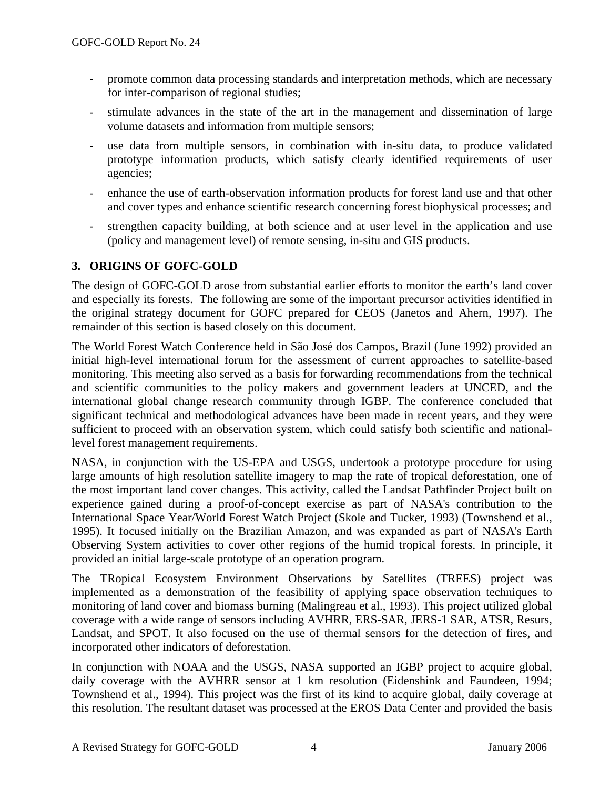- promote common data processing standards and interpretation methods, which are necessary for inter-comparison of regional studies;
- stimulate advances in the state of the art in the management and dissemination of large volume datasets and information from multiple sensors;
- use data from multiple sensors, in combination with in-situ data, to produce validated prototype information products, which satisfy clearly identified requirements of user agencies;
- enhance the use of earth-observation information products for forest land use and that other and cover types and enhance scientific research concerning forest biophysical processes; and
- strengthen capacity building, at both science and at user level in the application and use (policy and management level) of remote sensing, in-situ and GIS products.

### **3. ORIGINS OF GOFC-GOLD**

The design of GOFC-GOLD arose from substantial earlier efforts to monitor the earth's land cover and especially its forests. The following are some of the important precursor activities identified in the original strategy document for GOFC prepared for CEOS (Janetos and Ahern, 1997). The remainder of this section is based closely on this document.

The World Forest Watch Conference held in São José dos Campos, Brazil (June 1992) provided an initial high-level international forum for the assessment of current approaches to satellite-based monitoring. This meeting also served as a basis for forwarding recommendations from the technical and scientific communities to the policy makers and government leaders at UNCED, and the international global change research community through IGBP. The conference concluded that significant technical and methodological advances have been made in recent years, and they were sufficient to proceed with an observation system, which could satisfy both scientific and nationallevel forest management requirements.

NASA, in conjunction with the US-EPA and USGS, undertook a prototype procedure for using large amounts of high resolution satellite imagery to map the rate of tropical deforestation, one of the most important land cover changes. This activity, called the Landsat Pathfinder Project built on experience gained during a proof-of-concept exercise as part of NASA's contribution to the International Space Year/World Forest Watch Project (Skole and Tucker, 1993) (Townshend et al., 1995). It focused initially on the Brazilian Amazon, and was expanded as part of NASA's Earth Observing System activities to cover other regions of the humid tropical forests. In principle, it provided an initial large-scale prototype of an operation program.

The TRopical Ecosystem Environment Observations by Satellites (TREES) project was implemented as a demonstration of the feasibility of applying space observation techniques to monitoring of land cover and biomass burning (Malingreau et al., 1993). This project utilized global coverage with a wide range of sensors including AVHRR, ERS-SAR, JERS-1 SAR, ATSR, Resurs, Landsat, and SPOT. It also focused on the use of thermal sensors for the detection of fires, and incorporated other indicators of deforestation.

In conjunction with NOAA and the USGS, NASA supported an IGBP project to acquire global, daily coverage with the AVHRR sensor at 1 km resolution (Eidenshink and Faundeen, 1994; Townshend et al., 1994). This project was the first of its kind to acquire global, daily coverage at this resolution. The resultant dataset was processed at the EROS Data Center and provided the basis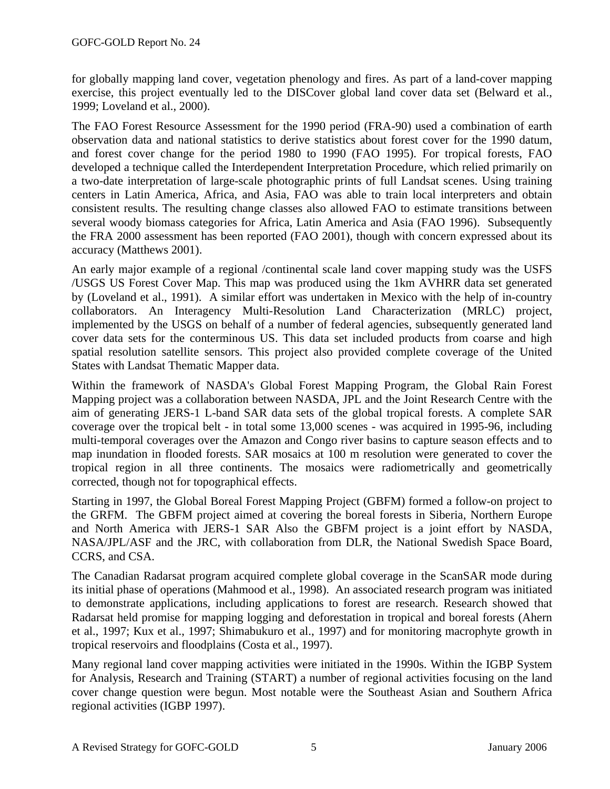for globally mapping land cover, vegetation phenology and fires. As part of a land-cover mapping exercise, this project eventually led to the DISCover global land cover data set (Belward et al., 1999; Loveland et al., 2000).

The FAO Forest Resource Assessment for the 1990 period (FRA-90) used a combination of earth observation data and national statistics to derive statistics about forest cover for the 1990 datum, and forest cover change for the period 1980 to 1990 (FAO 1995). For tropical forests, FAO developed a technique called the Interdependent Interpretation Procedure, which relied primarily on a two-date interpretation of large-scale photographic prints of full Landsat scenes. Using training centers in Latin America, Africa, and Asia, FAO was able to train local interpreters and obtain consistent results. The resulting change classes also allowed FAO to estimate transitions between several woody biomass categories for Africa, Latin America and Asia (FAO 1996). Subsequently the FRA 2000 assessment has been reported (FAO 2001), though with concern expressed about its accuracy (Matthews 2001).

An early major example of a regional /continental scale land cover mapping study was the USFS /USGS US Forest Cover Map. This map was produced using the 1km AVHRR data set generated by (Loveland et al., 1991). A similar effort was undertaken in Mexico with the help of in-country collaborators. An Interagency Multi-Resolution Land Characterization (MRLC) project, implemented by the USGS on behalf of a number of federal agencies, subsequently generated land cover data sets for the conterminous US. This data set included products from coarse and high spatial resolution satellite sensors. This project also provided complete coverage of the United States with Landsat Thematic Mapper data.

Within the framework of NASDA's Global Forest Mapping Program, the Global Rain Forest Mapping project was a collaboration between NASDA, JPL and the Joint Research Centre with the aim of generating JERS-1 L-band SAR data sets of the global tropical forests. A complete SAR coverage over the tropical belt - in total some 13,000 scenes - was acquired in 1995-96, including multi-temporal coverages over the Amazon and Congo river basins to capture season effects and to map inundation in flooded forests. SAR mosaics at 100 m resolution were generated to cover the tropical region in all three continents. The mosaics were radiometrically and geometrically corrected, though not for topographical effects.

Starting in 1997, the Global Boreal Forest Mapping Project (GBFM) formed a follow-on project to the GRFM. The GBFM project aimed at covering the boreal forests in Siberia, Northern Europe and North America with JERS-1 SAR Also the GBFM project is a joint effort by NASDA, NASA/JPL/ASF and the JRC, with collaboration from DLR, the National Swedish Space Board, CCRS, and CSA.

The Canadian Radarsat program acquired complete global coverage in the ScanSAR mode during its initial phase of operations (Mahmood et al., 1998). An associated research program was initiated to demonstrate applications, including applications to forest are research. Research showed that Radarsat held promise for mapping logging and deforestation in tropical and boreal forests (Ahern et al., 1997; Kux et al., 1997; Shimabukuro et al., 1997) and for monitoring macrophyte growth in tropical reservoirs and floodplains (Costa et al., 1997).

Many regional land cover mapping activities were initiated in the 1990s. Within the IGBP System for Analysis, Research and Training (START) a number of regional activities focusing on the land cover change question were begun. Most notable were the Southeast Asian and Southern Africa regional activities (IGBP 1997).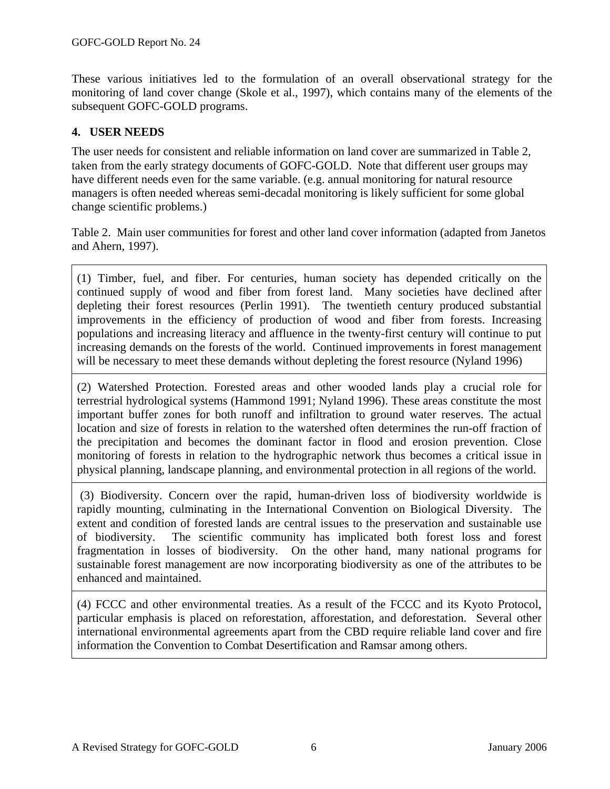These various initiatives led to the formulation of an overall observational strategy for the monitoring of land cover change (Skole et al., 1997), which contains many of the elements of the subsequent GOFC-GOLD programs.

### **4. USER NEEDS**

The user needs for consistent and reliable information on land cover are summarized in Table 2, taken from the early strategy documents of GOFC-GOLD. Note that different user groups may have different needs even for the same variable. (e.g. annual monitoring for natural resource managers is often needed whereas semi-decadal monitoring is likely sufficient for some global change scientific problems.)

Table 2. Main user communities for forest and other land cover information (adapted from Janetos and Ahern, 1997).

(1) Timber, fuel, and fiber. For centuries, human society has depended critically on the continued supply of wood and fiber from forest land. Many societies have declined after depleting their forest resources (Perlin 1991). The twentieth century produced substantial improvements in the efficiency of production of wood and fiber from forests. Increasing populations and increasing literacy and affluence in the twenty-first century will continue to put increasing demands on the forests of the world. Continued improvements in forest management will be necessary to meet these demands without depleting the forest resource (Nyland 1996)

(2) Watershed Protection. Forested areas and other wooded lands play a crucial role for terrestrial hydrological systems (Hammond 1991; Nyland 1996). These areas constitute the most important buffer zones for both runoff and infiltration to ground water reserves. The actual location and size of forests in relation to the watershed often determines the run-off fraction of the precipitation and becomes the dominant factor in flood and erosion prevention. Close monitoring of forests in relation to the hydrographic network thus becomes a critical issue in physical planning, landscape planning, and environmental protection in all regions of the world.

 (3) Biodiversity. Concern over the rapid, human-driven loss of biodiversity worldwide is rapidly mounting, culminating in the International Convention on Biological Diversity. The extent and condition of forested lands are central issues to the preservation and sustainable use of biodiversity. The scientific community has implicated both forest loss and forest fragmentation in losses of biodiversity. On the other hand, many national programs for sustainable forest management are now incorporating biodiversity as one of the attributes to be enhanced and maintained.

(4) FCCC and other environmental treaties. As a result of the FCCC and its Kyoto Protocol, particular emphasis is placed on reforestation, afforestation, and deforestation. Several other international environmental agreements apart from the CBD require reliable land cover and fire information the Convention to Combat Desertification and Ramsar among others.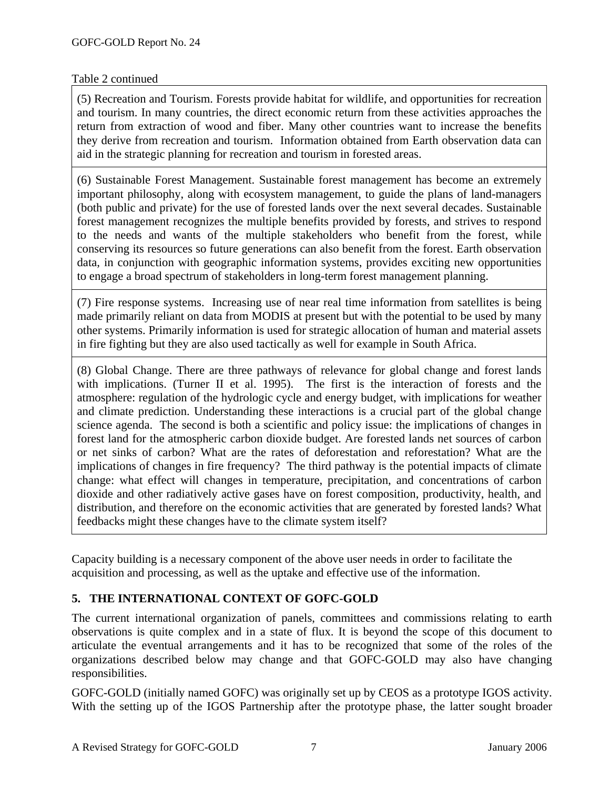### Table 2 continued

(5) Recreation and Tourism. Forests provide habitat for wildlife, and opportunities for recreation and tourism. In many countries, the direct economic return from these activities approaches the return from extraction of wood and fiber. Many other countries want to increase the benefits they derive from recreation and tourism. Information obtained from Earth observation data can aid in the strategic planning for recreation and tourism in forested areas.

(6) Sustainable Forest Management. Sustainable forest management has become an extremely important philosophy, along with ecosystem management, to guide the plans of land-managers (both public and private) for the use of forested lands over the next several decades. Sustainable forest management recognizes the multiple benefits provided by forests, and strives to respond to the needs and wants of the multiple stakeholders who benefit from the forest, while conserving its resources so future generations can also benefit from the forest. Earth observation data, in conjunction with geographic information systems, provides exciting new opportunities to engage a broad spectrum of stakeholders in long-term forest management planning.

(7) Fire response systems. Increasing use of near real time information from satellites is being made primarily reliant on data from MODIS at present but with the potential to be used by many other systems. Primarily information is used for strategic allocation of human and material assets in fire fighting but they are also used tactically as well for example in South Africa.

(8) Global Change. There are three pathways of relevance for global change and forest lands with implications. (Turner II et al. 1995). The first is the interaction of forests and the atmosphere: regulation of the hydrologic cycle and energy budget, with implications for weather and climate prediction. Understanding these interactions is a crucial part of the global change science agenda. The second is both a scientific and policy issue: the implications of changes in forest land for the atmospheric carbon dioxide budget. Are forested lands net sources of carbon or net sinks of carbon? What are the rates of deforestation and reforestation? What are the implications of changes in fire frequency? The third pathway is the potential impacts of climate change: what effect will changes in temperature, precipitation, and concentrations of carbon dioxide and other radiatively active gases have on forest composition, productivity, health, and distribution, and therefore on the economic activities that are generated by forested lands? What feedbacks might these changes have to the climate system itself?

Capacity building is a necessary component of the above user needs in order to facilitate the acquisition and processing, as well as the uptake and effective use of the information.

### **5. THE INTERNATIONAL CONTEXT OF GOFC-GOLD**

The current international organization of panels, committees and commissions relating to earth observations is quite complex and in a state of flux. It is beyond the scope of this document to articulate the eventual arrangements and it has to be recognized that some of the roles of the organizations described below may change and that GOFC-GOLD may also have changing responsibilities.

GOFC-GOLD (initially named GOFC) was originally set up by CEOS as a prototype IGOS activity. With the setting up of the IGOS Partnership after the prototype phase, the latter sought broader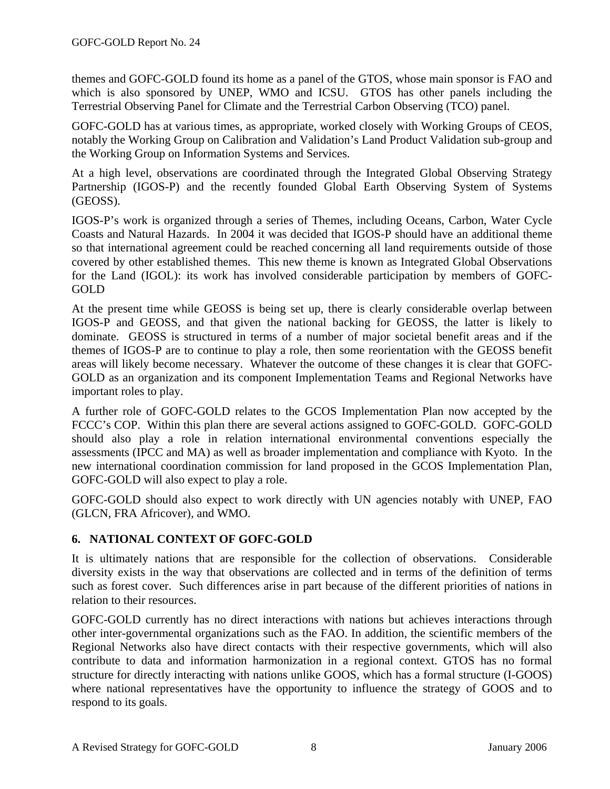themes and GOFC-GOLD found its home as a panel of the GTOS, whose main sponsor is FAO and which is also sponsored by UNEP, WMO and ICSU. GTOS has other panels including the Terrestrial Observing Panel for Climate and the Terrestrial Carbon Observing (TCO) panel.

GOFC-GOLD has at various times, as appropriate, worked closely with Working Groups of CEOS, notably the Working Group on Calibration and Validation's Land Product Validation sub-group and the Working Group on Information Systems and Services.

At a high level, observations are coordinated through the Integrated Global Observing Strategy Partnership (IGOS-P) and the recently founded Global Earth Observing System of Systems (GEOSS).

IGOS-P's work is organized through a series of Themes, including Oceans, Carbon, Water Cycle Coasts and Natural Hazards. In 2004 it was decided that IGOS-P should have an additional theme so that international agreement could be reached concerning all land requirements outside of those covered by other established themes. This new theme is known as Integrated Global Observations for the Land (IGOL): its work has involved considerable participation by members of GOFC-GOLD

At the present time while GEOSS is being set up, there is clearly considerable overlap between IGOS-P and GEOSS, and that given the national backing for GEOSS, the latter is likely to dominate. GEOSS is structured in terms of a number of major societal benefit areas and if the themes of IGOS-P are to continue to play a role, then some reorientation with the GEOSS benefit areas will likely become necessary. Whatever the outcome of these changes it is clear that GOFC-GOLD as an organization and its component Implementation Teams and Regional Networks have important roles to play.

A further role of GOFC-GOLD relates to the GCOS Implementation Plan now accepted by the FCCC's COP. Within this plan there are several actions assigned to GOFC-GOLD. GOFC-GOLD should also play a role in relation international environmental conventions especially the assessments (IPCC and MA) as well as broader implementation and compliance with Kyoto. In the new international coordination commission for land proposed in the GCOS Implementation Plan, GOFC-GOLD will also expect to play a role.

GOFC-GOLD should also expect to work directly with UN agencies notably with UNEP, FAO (GLCN, FRA Africover), and WMO.

### **6. NATIONAL CONTEXT OF GOFC-GOLD**

It is ultimately nations that are responsible for the collection of observations. Considerable diversity exists in the way that observations are collected and in terms of the definition of terms such as forest cover. Such differences arise in part because of the different priorities of nations in relation to their resources.

GOFC-GOLD currently has no direct interactions with nations but achieves interactions through other inter-governmental organizations such as the FAO. In addition, the scientific members of the Regional Networks also have direct contacts with their respective governments, which will also contribute to data and information harmonization in a regional context. GTOS has no formal structure for directly interacting with nations unlike GOOS, which has a formal structure (I-GOOS) where national representatives have the opportunity to influence the strategy of GOOS and to respond to its goals.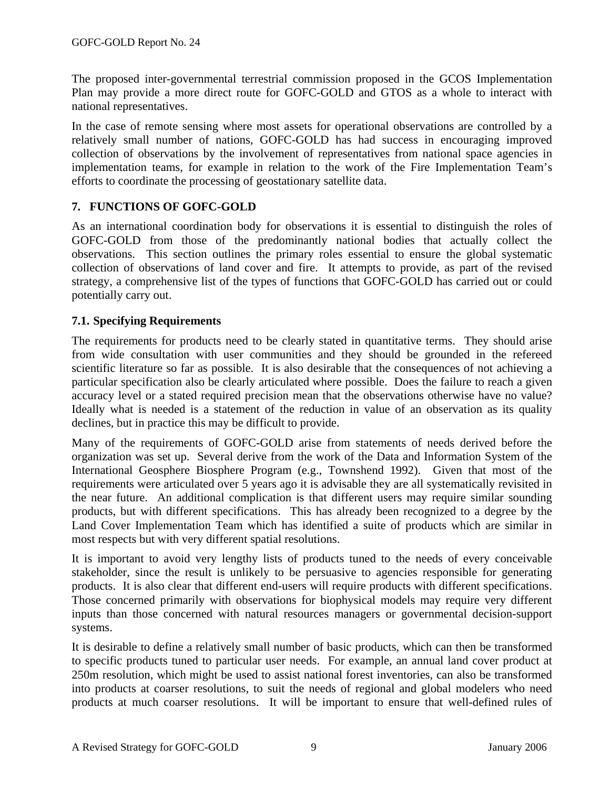The proposed inter-governmental terrestrial commission proposed in the GCOS Implementation Plan may provide a more direct route for GOFC-GOLD and GTOS as a whole to interact with national representatives.

In the case of remote sensing where most assets for operational observations are controlled by a relatively small number of nations, GOFC-GOLD has had success in encouraging improved collection of observations by the involvement of representatives from national space agencies in implementation teams, for example in relation to the work of the Fire Implementation Team's efforts to coordinate the processing of geostationary satellite data.

### **7. FUNCTIONS OF GOFC-GOLD**

As an international coordination body for observations it is essential to distinguish the roles of GOFC-GOLD from those of the predominantly national bodies that actually collect the observations. This section outlines the primary roles essential to ensure the global systematic collection of observations of land cover and fire. It attempts to provide, as part of the revised strategy, a comprehensive list of the types of functions that GOFC-GOLD has carried out or could potentially carry out.

### **7.1. Specifying Requirements**

The requirements for products need to be clearly stated in quantitative terms. They should arise from wide consultation with user communities and they should be grounded in the refereed scientific literature so far as possible. It is also desirable that the consequences of not achieving a particular specification also be clearly articulated where possible. Does the failure to reach a given accuracy level or a stated required precision mean that the observations otherwise have no value? Ideally what is needed is a statement of the reduction in value of an observation as its quality declines, but in practice this may be difficult to provide.

Many of the requirements of GOFC-GOLD arise from statements of needs derived before the organization was set up. Several derive from the work of the Data and Information System of the International Geosphere Biosphere Program (e.g., Townshend 1992). Given that most of the requirements were articulated over 5 years ago it is advisable they are all systematically revisited in the near future. An additional complication is that different users may require similar sounding products, but with different specifications. This has already been recognized to a degree by the Land Cover Implementation Team which has identified a suite of products which are similar in most respects but with very different spatial resolutions.

It is important to avoid very lengthy lists of products tuned to the needs of every conceivable stakeholder, since the result is unlikely to be persuasive to agencies responsible for generating products. It is also clear that different end-users will require products with different specifications. Those concerned primarily with observations for biophysical models may require very different inputs than those concerned with natural resources managers or governmental decision-support systems.

It is desirable to define a relatively small number of basic products, which can then be transformed to specific products tuned to particular user needs. For example, an annual land cover product at 250m resolution, which might be used to assist national forest inventories, can also be transformed into products at coarser resolutions, to suit the needs of regional and global modelers who need products at much coarser resolutions. It will be important to ensure that well-defined rules of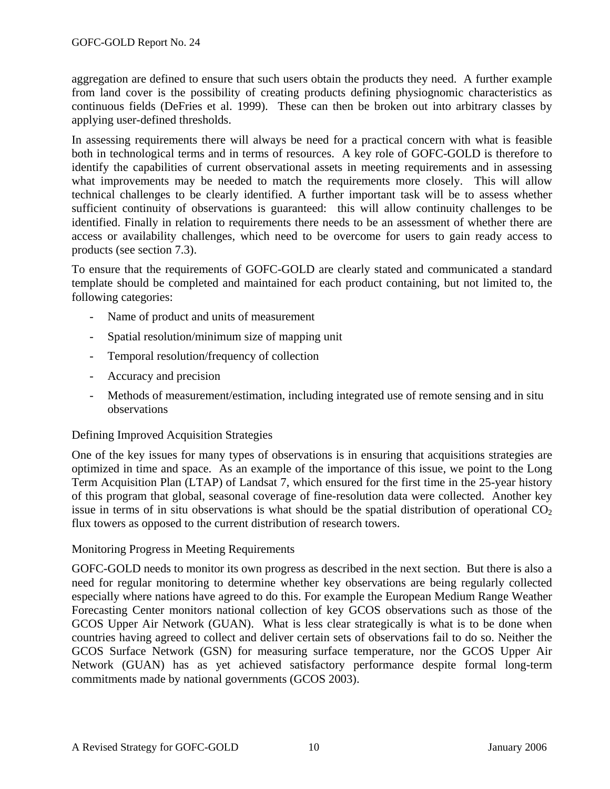aggregation are defined to ensure that such users obtain the products they need. A further example from land cover is the possibility of creating products defining physiognomic characteristics as continuous fields (DeFries et al. 1999). These can then be broken out into arbitrary classes by applying user-defined thresholds.

In assessing requirements there will always be need for a practical concern with what is feasible both in technological terms and in terms of resources. A key role of GOFC-GOLD is therefore to identify the capabilities of current observational assets in meeting requirements and in assessing what improvements may be needed to match the requirements more closely. This will allow technical challenges to be clearly identified. A further important task will be to assess whether sufficient continuity of observations is guaranteed: this will allow continuity challenges to be identified. Finally in relation to requirements there needs to be an assessment of whether there are access or availability challenges, which need to be overcome for users to gain ready access to products (see section 7.3).

To ensure that the requirements of GOFC-GOLD are clearly stated and communicated a standard template should be completed and maintained for each product containing, but not limited to, the following categories:

- Name of product and units of measurement
- Spatial resolution/minimum size of mapping unit
- Temporal resolution/frequency of collection
- Accuracy and precision
- Methods of measurement/estimation, including integrated use of remote sensing and in situ observations

### Defining Improved Acquisition Strategies

One of the key issues for many types of observations is in ensuring that acquisitions strategies are optimized in time and space. As an example of the importance of this issue, we point to the Long Term Acquisition Plan (LTAP) of Landsat 7, which ensured for the first time in the 25-year history of this program that global, seasonal coverage of fine-resolution data were collected. Another key issue in terms of in situ observations is what should be the spatial distribution of operational  $CO<sub>2</sub>$ flux towers as opposed to the current distribution of research towers.

### Monitoring Progress in Meeting Requirements

GOFC-GOLD needs to monitor its own progress as described in the next section. But there is also a need for regular monitoring to determine whether key observations are being regularly collected especially where nations have agreed to do this. For example the European Medium Range Weather Forecasting Center monitors national collection of key GCOS observations such as those of the GCOS Upper Air Network (GUAN). What is less clear strategically is what is to be done when countries having agreed to collect and deliver certain sets of observations fail to do so. Neither the GCOS Surface Network (GSN) for measuring surface temperature, nor the GCOS Upper Air Network (GUAN) has as yet achieved satisfactory performance despite formal long-term commitments made by national governments (GCOS 2003).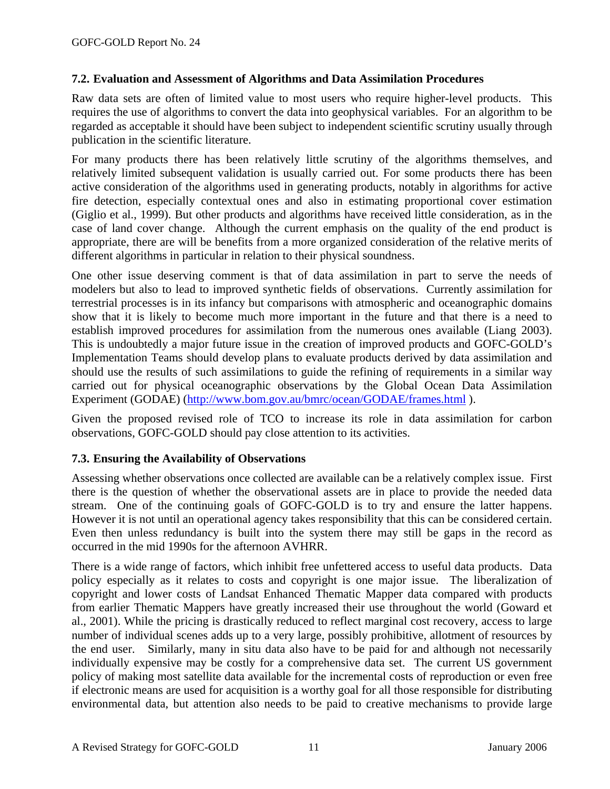### **7.2. Evaluation and Assessment of Algorithms and Data Assimilation Procedures**

Raw data sets are often of limited value to most users who require higher-level products. This requires the use of algorithms to convert the data into geophysical variables. For an algorithm to be regarded as acceptable it should have been subject to independent scientific scrutiny usually through publication in the scientific literature.

For many products there has been relatively little scrutiny of the algorithms themselves, and relatively limited subsequent validation is usually carried out. For some products there has been active consideration of the algorithms used in generating products, notably in algorithms for active fire detection, especially contextual ones and also in estimating proportional cover estimation (Giglio et al., 1999). But other products and algorithms have received little consideration, as in the case of land cover change. Although the current emphasis on the quality of the end product is appropriate, there are will be benefits from a more organized consideration of the relative merits of different algorithms in particular in relation to their physical soundness.

One other issue deserving comment is that of data assimilation in part to serve the needs of modelers but also to lead to improved synthetic fields of observations. Currently assimilation for terrestrial processes is in its infancy but comparisons with atmospheric and oceanographic domains show that it is likely to become much more important in the future and that there is a need to establish improved procedures for assimilation from the numerous ones available (Liang 2003). This is undoubtedly a major future issue in the creation of improved products and GOFC-GOLD's Implementation Teams should develop plans to evaluate products derived by data assimilation and should use the results of such assimilations to guide the refining of requirements in a similar way carried out for physical oceanographic observations by the Global Ocean Data Assimilation Experiment (GODAE) (http://www.bom.gov.au/bmrc/ocean/GODAE/frames.html ).

Given the proposed revised role of TCO to increase its role in data assimilation for carbon observations, GOFC-GOLD should pay close attention to its activities.

#### **7.3. Ensuring the Availability of Observations**

Assessing whether observations once collected are available can be a relatively complex issue. First there is the question of whether the observational assets are in place to provide the needed data stream. One of the continuing goals of GOFC-GOLD is to try and ensure the latter happens. However it is not until an operational agency takes responsibility that this can be considered certain. Even then unless redundancy is built into the system there may still be gaps in the record as occurred in the mid 1990s for the afternoon AVHRR.

There is a wide range of factors, which inhibit free unfettered access to useful data products. Data policy especially as it relates to costs and copyright is one major issue. The liberalization of copyright and lower costs of Landsat Enhanced Thematic Mapper data compared with products from earlier Thematic Mappers have greatly increased their use throughout the world (Goward et al., 2001). While the pricing is drastically reduced to reflect marginal cost recovery, access to large number of individual scenes adds up to a very large, possibly prohibitive, allotment of resources by the end user. Similarly, many in situ data also have to be paid for and although not necessarily individually expensive may be costly for a comprehensive data set. The current US government policy of making most satellite data available for the incremental costs of reproduction or even free if electronic means are used for acquisition is a worthy goal for all those responsible for distributing environmental data, but attention also needs to be paid to creative mechanisms to provide large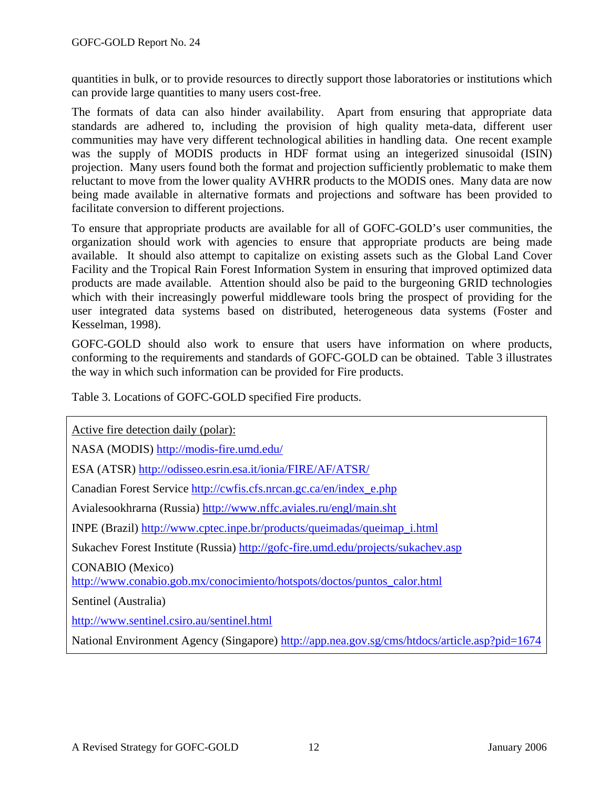quantities in bulk, or to provide resources to directly support those laboratories or institutions which can provide large quantities to many users cost-free.

The formats of data can also hinder availability. Apart from ensuring that appropriate data standards are adhered to, including the provision of high quality meta-data, different user communities may have very different technological abilities in handling data. One recent example was the supply of MODIS products in HDF format using an integerized sinusoidal (ISIN) projection. Many users found both the format and projection sufficiently problematic to make them reluctant to move from the lower quality AVHRR products to the MODIS ones. Many data are now being made available in alternative formats and projections and software has been provided to facilitate conversion to different projections.

To ensure that appropriate products are available for all of GOFC-GOLD's user communities, the organization should work with agencies to ensure that appropriate products are being made available. It should also attempt to capitalize on existing assets such as the Global Land Cover Facility and the Tropical Rain Forest Information System in ensuring that improved optimized data products are made available. Attention should also be paid to the burgeoning GRID technologies which with their increasingly powerful middleware tools bring the prospect of providing for the user integrated data systems based on distributed, heterogeneous data systems (Foster and Kesselman, 1998).

GOFC-GOLD should also work to ensure that users have information on where products, conforming to the requirements and standards of GOFC-GOLD can be obtained. Table 3 illustrates the way in which such information can be provided for Fire products.

Table 3. Locations of GOFC-GOLD specified Fire products.

Active fire detection daily (polar):

NASA (MODIS) http://modis-fire.umd.edu/

ESA (ATSR) http://odisseo.esrin.esa.it/ionia/FIRE/AF/ATSR/

Canadian Forest Service http://cwfis.cfs.nrcan.gc.ca/en/index\_e.php

Avialesookhrarna (Russia) http://www.nffc.aviales.ru/engl/main.sht

INPE (Brazil) http://www.cptec.inpe.br/products/queimadas/queimap\_i.html

Sukachev Forest Institute (Russia) http://gofc-fire.umd.edu/projects/sukachev.asp

CONABIO (Mexico)

http://www.conabio.gob.mx/conocimiento/hotspots/doctos/puntos\_calor.html

Sentinel (Australia)

http://www.sentinel.csiro.au/sentinel.html

National Environment Agency (Singapore) http://app.nea.gov.sg/cms/htdocs/article.asp?pid=1674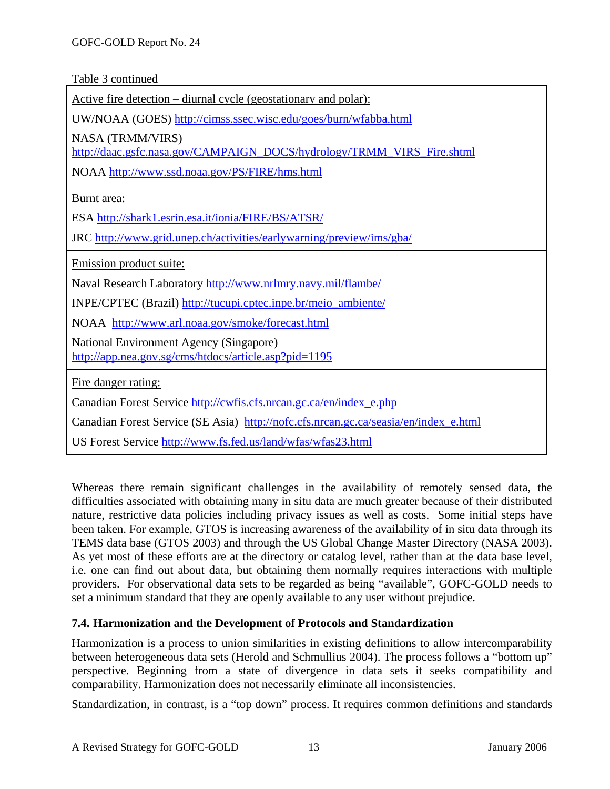Table 3 continued

| <u>Active fire detection – diurnal cycle (geostationary and polar):</u>                                                                            |
|----------------------------------------------------------------------------------------------------------------------------------------------------|
| UW/NOAA (GOES) http://cimss.ssec.wisc.edu/goes/burn/wfabba.html                                                                                    |
| <b>NASA (TRMM/VIRS)</b><br>http://daac.gsfc.nasa.gov/CAMPAIGN_DOCS/hydrology/TRMM_VIRS_Fire.shtml<br>NOAA http://www.ssd.noaa.gov/PS/FIRE/hms.html |
| Burnt area:<br>ESA http://shark1.esrin.esa.it/ionia/FIRE/BS/ATSR/                                                                                  |
| JRC http://www.grid.unep.ch/activities/earlywarning/preview/ims/gba/                                                                               |
| Emission product suite:                                                                                                                            |
| Naval Research Laboratory http://www.nrlmry.navy.mil/flambe/                                                                                       |
| INPE/CPTEC (Brazil) http://tucupi.cptec.inpe.br/meio_ambiente/                                                                                     |
| NOAA http://www.arl.noaa.gov/smoke/forecast.html                                                                                                   |
| National Environment Agency (Singapore)<br>http://app.nea.gov.sg/cms/htdocs/article.asp?pid=1195                                                   |
| Fire danger rating:                                                                                                                                |
| Canadian Forest Service http://cwfis.cfs.nrcan.gc.ca/en/index_e.php                                                                                |
| Canadian Forest Service (SE Asia) http://nofc.cfs.nrcan.gc.ca/seasia/en/index_e.html                                                               |
| US Forest Service http://www.fs.fed.us/land/wfas/wfas23.html                                                                                       |

Whereas there remain significant challenges in the availability of remotely sensed data, the difficulties associated with obtaining many in situ data are much greater because of their distributed nature, restrictive data policies including privacy issues as well as costs. Some initial steps have been taken. For example, GTOS is increasing awareness of the availability of in situ data through its TEMS data base (GTOS 2003) and through the US Global Change Master Directory (NASA 2003). As yet most of these efforts are at the directory or catalog level, rather than at the data base level, i.e. one can find out about data, but obtaining them normally requires interactions with multiple providers. For observational data sets to be regarded as being "available", GOFC-GOLD needs to set a minimum standard that they are openly available to any user without prejudice.

### **7.4. Harmonization and the Development of Protocols and Standardization**

Harmonization is a process to union similarities in existing definitions to allow intercomparability between heterogeneous data sets (Herold and Schmullius 2004). The process follows a "bottom up" perspective. Beginning from a state of divergence in data sets it seeks compatibility and comparability. Harmonization does not necessarily eliminate all inconsistencies.

Standardization, in contrast, is a "top down" process. It requires common definitions and standards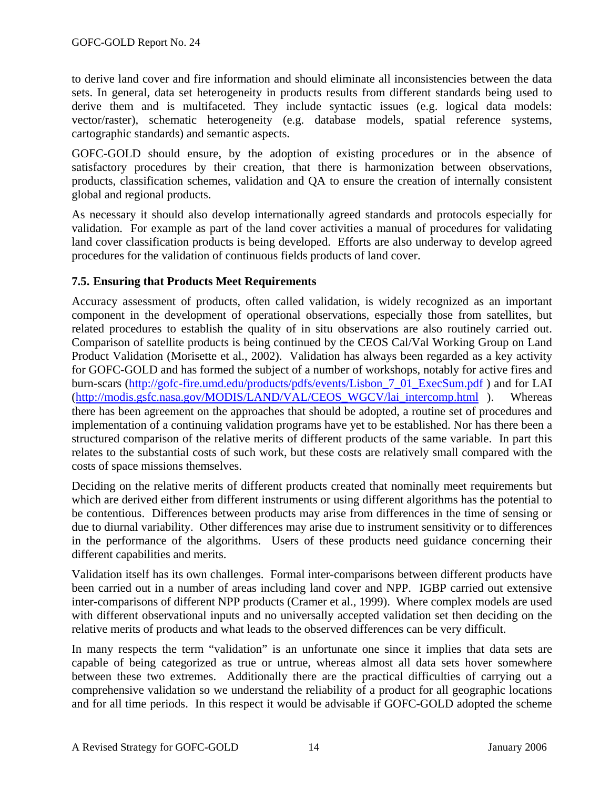to derive land cover and fire information and should eliminate all inconsistencies between the data sets. In general, data set heterogeneity in products results from different standards being used to derive them and is multifaceted. They include syntactic issues (e.g. logical data models: vector/raster), schematic heterogeneity (e.g. database models, spatial reference systems, cartographic standards) and semantic aspects.

GOFC-GOLD should ensure, by the adoption of existing procedures or in the absence of satisfactory procedures by their creation, that there is harmonization between observations, products, classification schemes, validation and QA to ensure the creation of internally consistent global and regional products.

As necessary it should also develop internationally agreed standards and protocols especially for validation. For example as part of the land cover activities a manual of procedures for validating land cover classification products is being developed. Efforts are also underway to develop agreed procedures for the validation of continuous fields products of land cover.

### **7.5. Ensuring that Products Meet Requirements**

Accuracy assessment of products, often called validation, is widely recognized as an important component in the development of operational observations, especially those from satellites, but related procedures to establish the quality of in situ observations are also routinely carried out. Comparison of satellite products is being continued by the CEOS Cal/Val Working Group on Land Product Validation (Morisette et al., 2002). Validation has always been regarded as a key activity for GOFC-GOLD and has formed the subject of a number of workshops, notably for active fires and burn-scars (http://gofc-fire.umd.edu/products/pdfs/events/Lisbon\_7\_01\_ExecSum.pdf ) and for LAI (http://modis.gsfc.nasa.gov/MODIS/LAND/VAL/CEOS\_WGCV/lai\_intercomp.html ). Whereas there has been agreement on the approaches that should be adopted, a routine set of procedures and implementation of a continuing validation programs have yet to be established. Nor has there been a structured comparison of the relative merits of different products of the same variable. In part this relates to the substantial costs of such work, but these costs are relatively small compared with the costs of space missions themselves.

Deciding on the relative merits of different products created that nominally meet requirements but which are derived either from different instruments or using different algorithms has the potential to be contentious. Differences between products may arise from differences in the time of sensing or due to diurnal variability. Other differences may arise due to instrument sensitivity or to differences in the performance of the algorithms. Users of these products need guidance concerning their different capabilities and merits.

Validation itself has its own challenges. Formal inter-comparisons between different products have been carried out in a number of areas including land cover and NPP. IGBP carried out extensive inter-comparisons of different NPP products (Cramer et al., 1999). Where complex models are used with different observational inputs and no universally accepted validation set then deciding on the relative merits of products and what leads to the observed differences can be very difficult.

In many respects the term "validation" is an unfortunate one since it implies that data sets are capable of being categorized as true or untrue, whereas almost all data sets hover somewhere between these two extremes. Additionally there are the practical difficulties of carrying out a comprehensive validation so we understand the reliability of a product for all geographic locations and for all time periods. In this respect it would be advisable if GOFC-GOLD adopted the scheme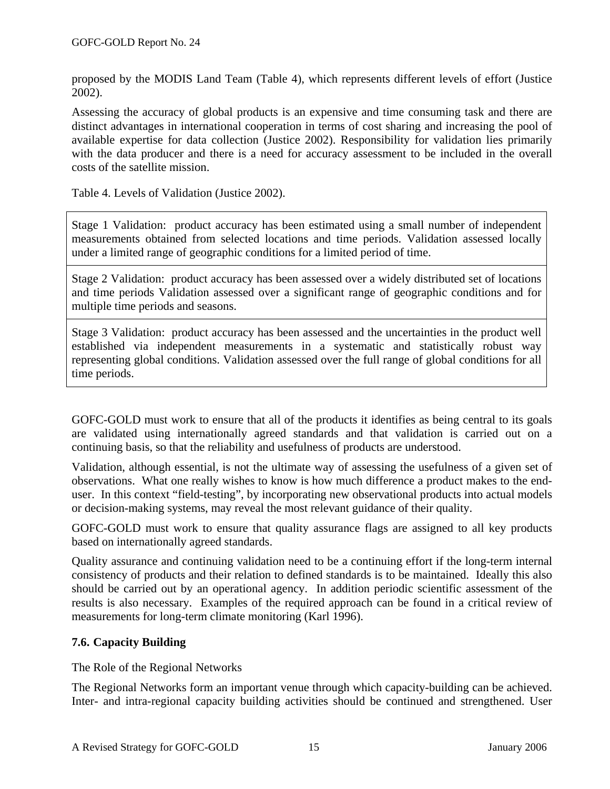proposed by the MODIS Land Team (Table 4), which represents different levels of effort (Justice 2002).

Assessing the accuracy of global products is an expensive and time consuming task and there are distinct advantages in international cooperation in terms of cost sharing and increasing the pool of available expertise for data collection (Justice 2002). Responsibility for validation lies primarily with the data producer and there is a need for accuracy assessment to be included in the overall costs of the satellite mission.

Table 4. Levels of Validation (Justice 2002).

Stage 1 Validation: product accuracy has been estimated using a small number of independent measurements obtained from selected locations and time periods. Validation assessed locally under a limited range of geographic conditions for a limited period of time.

Stage 2 Validation: product accuracy has been assessed over a widely distributed set of locations and time periods Validation assessed over a significant range of geographic conditions and for multiple time periods and seasons.

Stage 3 Validation: product accuracy has been assessed and the uncertainties in the product well established via independent measurements in a systematic and statistically robust way representing global conditions. Validation assessed over the full range of global conditions for all time periods.

GOFC-GOLD must work to ensure that all of the products it identifies as being central to its goals are validated using internationally agreed standards and that validation is carried out on a continuing basis, so that the reliability and usefulness of products are understood.

Validation, although essential, is not the ultimate way of assessing the usefulness of a given set of observations. What one really wishes to know is how much difference a product makes to the enduser. In this context "field-testing", by incorporating new observational products into actual models or decision-making systems, may reveal the most relevant guidance of their quality.

GOFC-GOLD must work to ensure that quality assurance flags are assigned to all key products based on internationally agreed standards.

Quality assurance and continuing validation need to be a continuing effort if the long-term internal consistency of products and their relation to defined standards is to be maintained. Ideally this also should be carried out by an operational agency. In addition periodic scientific assessment of the results is also necessary. Examples of the required approach can be found in a critical review of measurements for long-term climate monitoring (Karl 1996).

### **7.6. Capacity Building**

The Role of the Regional Networks

The Regional Networks form an important venue through which capacity-building can be achieved. Inter- and intra-regional capacity building activities should be continued and strengthened. User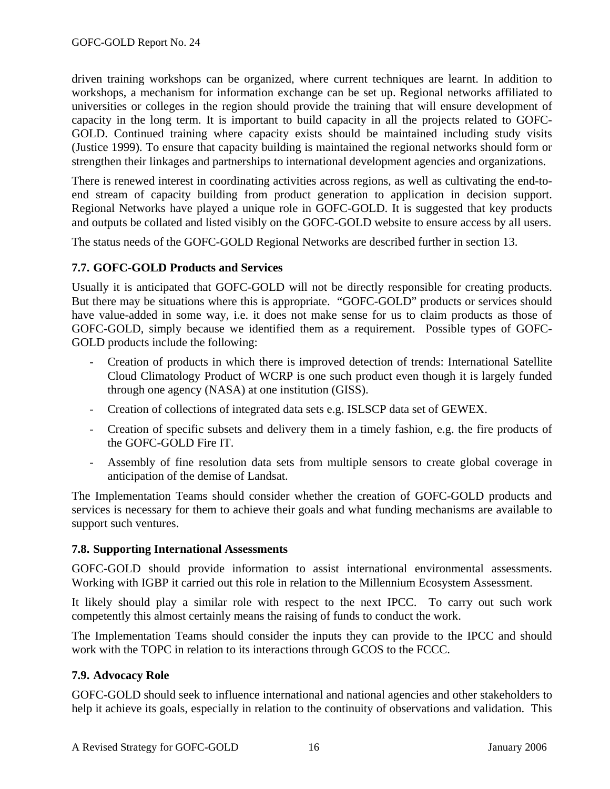driven training workshops can be organized, where current techniques are learnt. In addition to workshops, a mechanism for information exchange can be set up. Regional networks affiliated to universities or colleges in the region should provide the training that will ensure development of capacity in the long term. It is important to build capacity in all the projects related to GOFC-GOLD. Continued training where capacity exists should be maintained including study visits (Justice 1999). To ensure that capacity building is maintained the regional networks should form or strengthen their linkages and partnerships to international development agencies and organizations.

There is renewed interest in coordinating activities across regions, as well as cultivating the end-toend stream of capacity building from product generation to application in decision support. Regional Networks have played a unique role in GOFC-GOLD. It is suggested that key products and outputs be collated and listed visibly on the GOFC-GOLD website to ensure access by all users.

The status needs of the GOFC-GOLD Regional Networks are described further in section 13.

### **7.7. GOFC-GOLD Products and Services**

Usually it is anticipated that GOFC-GOLD will not be directly responsible for creating products. But there may be situations where this is appropriate. "GOFC-GOLD" products or services should have value-added in some way, i.e. it does not make sense for us to claim products as those of GOFC-GOLD, simply because we identified them as a requirement. Possible types of GOFC-GOLD products include the following:

- Creation of products in which there is improved detection of trends: International Satellite Cloud Climatology Product of WCRP is one such product even though it is largely funded through one agency (NASA) at one institution (GISS).
- Creation of collections of integrated data sets e.g. ISLSCP data set of GEWEX.
- Creation of specific subsets and delivery them in a timely fashion, e.g. the fire products of the GOFC-GOLD Fire IT.
- Assembly of fine resolution data sets from multiple sensors to create global coverage in anticipation of the demise of Landsat.

The Implementation Teams should consider whether the creation of GOFC-GOLD products and services is necessary for them to achieve their goals and what funding mechanisms are available to support such ventures.

### **7.8. Supporting International Assessments**

GOFC-GOLD should provide information to assist international environmental assessments. Working with IGBP it carried out this role in relation to the Millennium Ecosystem Assessment.

It likely should play a similar role with respect to the next IPCC. To carry out such work competently this almost certainly means the raising of funds to conduct the work.

The Implementation Teams should consider the inputs they can provide to the IPCC and should work with the TOPC in relation to its interactions through GCOS to the FCCC.

### **7.9. Advocacy Role**

GOFC-GOLD should seek to influence international and national agencies and other stakeholders to help it achieve its goals, especially in relation to the continuity of observations and validation. This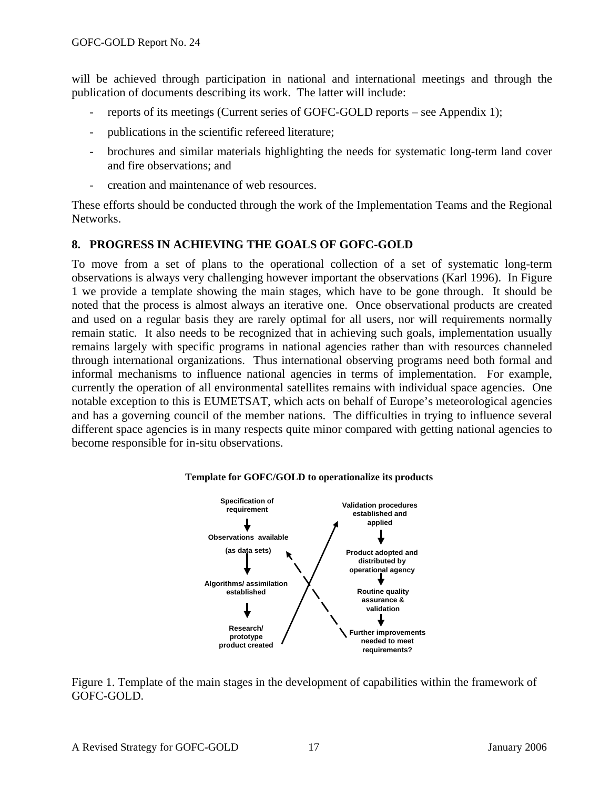will be achieved through participation in national and international meetings and through the publication of documents describing its work. The latter will include:

- reports of its meetings (Current series of GOFC-GOLD reports see Appendix 1);
- publications in the scientific refereed literature;
- brochures and similar materials highlighting the needs for systematic long-term land cover and fire observations; and
- creation and maintenance of web resources.

These efforts should be conducted through the work of the Implementation Teams and the Regional Networks.

### **8. PROGRESS IN ACHIEVING THE GOALS OF GOFC-GOLD**

To move from a set of plans to the operational collection of a set of systematic long-term observations is always very challenging however important the observations (Karl 1996). In Figure 1 we provide a template showing the main stages, which have to be gone through. It should be noted that the process is almost always an iterative one. Once observational products are created and used on a regular basis they are rarely optimal for all users, nor will requirements normally remain static. It also needs to be recognized that in achieving such goals, implementation usually remains largely with specific programs in national agencies rather than with resources channeled through international organizations. Thus international observing programs need both formal and informal mechanisms to influence national agencies in terms of implementation. For example, currently the operation of all environmental satellites remains with individual space agencies. One notable exception to this is EUMETSAT, which acts on behalf of Europe's meteorological agencies and has a governing council of the member nations. The difficulties in trying to influence several different space agencies is in many respects quite minor compared with getting national agencies to become responsible for in-situ observations.



#### **Template for GOFC/GOLD to operationalize its products**

Figure 1. Template of the main stages in the development of capabilities within the framework of GOFC-GOLD.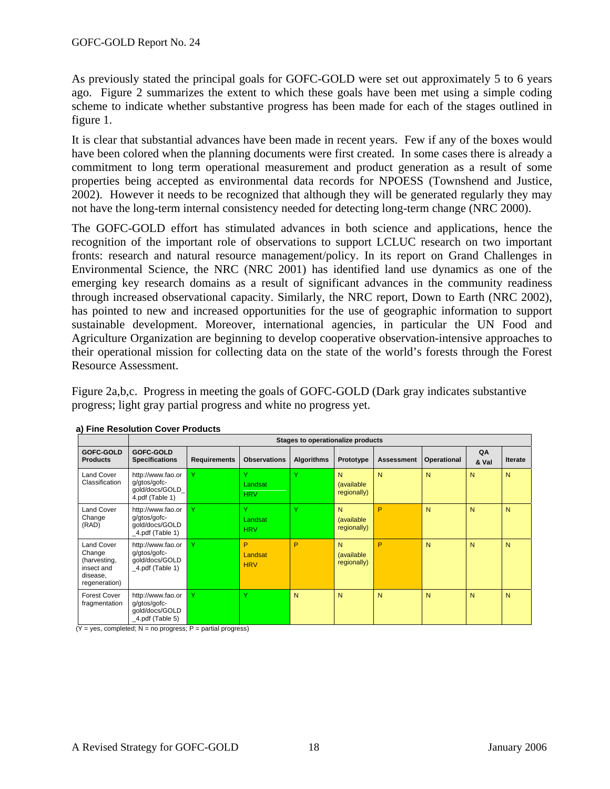As previously stated the principal goals for GOFC-GOLD were set out approximately 5 to 6 years ago. Figure 2 summarizes the extent to which these goals have been met using a simple coding scheme to indicate whether substantive progress has been made for each of the stages outlined in figure 1.

It is clear that substantial advances have been made in recent years. Few if any of the boxes would have been colored when the planning documents were first created. In some cases there is already a commitment to long term operational measurement and product generation as a result of some properties being accepted as environmental data records for NPOESS (Townshend and Justice, 2002). However it needs to be recognized that although they will be generated regularly they may not have the long-term internal consistency needed for detecting long-term change (NRC 2000).

The GOFC-GOLD effort has stimulated advances in both science and applications, hence the recognition of the important role of observations to support LCLUC research on two important fronts: research and natural resource management/policy. In its report on Grand Challenges in Environmental Science, the NRC (NRC 2001) has identified land use dynamics as one of the emerging key research domains as a result of significant advances in the community readiness through increased observational capacity. Similarly, the NRC report, Down to Earth (NRC 2002), has pointed to new and increased opportunities for the use of geographic information to support sustainable development. Moreover, international agencies, in particular the UN Food and Agriculture Organization are beginning to develop cooperative observation-intensive approaches to their operational mission for collecting data on the state of the world's forests through the Forest Resource Assessment.

Figure 2a,b,c. Progress in meeting the goals of GOFC-GOLD (Dark gray indicates substantive progress; light gray partial progress and white no progress yet.

|                                                                                        |                                                                             | Stages to operationalize products |                            |                   |                                |                   |             |             |                |
|----------------------------------------------------------------------------------------|-----------------------------------------------------------------------------|-----------------------------------|----------------------------|-------------------|--------------------------------|-------------------|-------------|-------------|----------------|
| GOFC-GOLD<br><b>Products</b>                                                           | GOFC-GOLD<br><b>Specifications</b>                                          | <b>Requirements</b>               | <b>Observations</b>        | <b>Algorithms</b> | Prototype                      | <b>Assessment</b> | Operational | QA<br>& Val | <b>Iterate</b> |
| <b>Land Cover</b><br>Classification                                                    | http://www.fao.or<br>g/gtos/gofc-<br>gold/docs/GOLD_<br>4.pdf (Table 1)     | Ÿ                                 | Y<br>Landsat<br><b>HRV</b> | Ÿ                 | N<br>(available<br>regionally) | N                 | N           | N           | N              |
| <b>Land Cover</b><br>Change<br>(RAD)                                                   | http://www.fao.or<br>g/gtos/gofc-<br>qold/docs/GOLD<br>$_4$ .pdf (Table 1)  | Y                                 | Y<br>Landsat<br><b>HRV</b> | Ÿ                 | N<br>(available<br>regionally) | P                 | N           | N           | N              |
| <b>Land Cover</b><br>Change<br>(harvesting,<br>insect and<br>disease,<br>regeneration) | http://www.fao.or<br>g/gtos/gofc-<br>gold/docs/GOLD<br>$\_4$ .pdf (Table 1) | Y                                 | P<br>Landsat<br><b>HRV</b> | P                 | N<br>(available<br>regionally) | P                 | N           | N           | N              |
| <b>Forest Cover</b><br>fragmentation                                                   | http://www.fao.or<br>g/gtos/gofc-<br>qold/docs/GOLD<br>$_4$ .pdf (Table 5)  | Ÿ                                 | Y                          | N                 | N                              | N                 | N           | N           | N              |

**a) Fine Resolution Cover Products** 

 $(Y = yes, completed; N = no progress; P = partial progress)$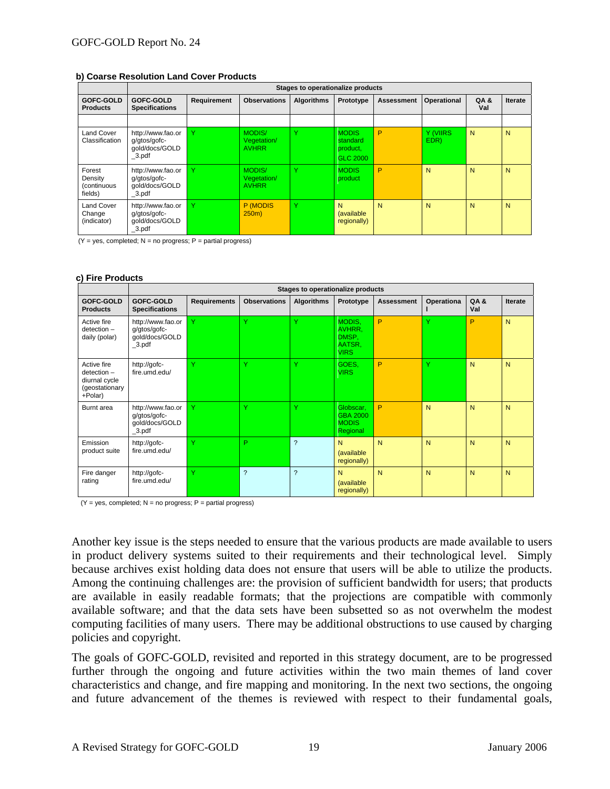#### **b) Coarse Resolution Land Cover Products**

|                                             |                                                                  | Stages to operationalize products |                                              |                   |                                                  |                   |                  |             |                |
|---------------------------------------------|------------------------------------------------------------------|-----------------------------------|----------------------------------------------|-------------------|--------------------------------------------------|-------------------|------------------|-------------|----------------|
| GOFC-GOLD<br><b>Products</b>                | GOFC-GOLD<br><b>Specifications</b>                               | Requirement                       | <b>Observations</b>                          | <b>Algorithms</b> | Prototype                                        | <b>Assessment</b> | Operational      | QA &<br>Val | <b>Iterate</b> |
|                                             |                                                                  |                                   |                                              |                   |                                                  |                   |                  |             |                |
| <b>Land Cover</b><br>Classification         | http://www.fao.or<br>q/qtos/qofc-<br>qold/docs/GOLD<br>$_3$ .pdf | $\checkmark$                      | <b>MODIS/</b><br>Vegetation/<br><b>AVHRR</b> | v                 | <b>MODIS</b><br>standard<br>product,<br>GLC 2000 | P                 | Y (VIIRS<br>EDR) | N           | N              |
| Forest<br>Density<br>(continuous<br>fields) | http://www.fao.or<br>q/qtos/qofc-<br>qold/docs/GOLD<br>$_3$ .pdf | $\checkmark$                      | MODIS/<br>Vegetation/<br><b>AVHRR</b>        | Y                 | <b>MODIS</b><br>product                          | P                 | N                | N           | N              |
| <b>Land Cover</b><br>Change<br>(indicator)  | http://www.fao.or<br>g/gtos/gofc-<br>qold/docs/GOLD<br>$_3$ .pdf | $\checkmark$                      | P (MODIS<br>$250m$ )                         | Y                 | N<br>(available<br>regionally)                   | N                 | N                | N           | N              |

 $(Y = yes, completed; N = no progress; P = partial progress)$ 

#### **c) Fire Products**

|                                                                            | Stages to operationalize products                                |                     |                          |                   |                                                    |                   |              |             |                |
|----------------------------------------------------------------------------|------------------------------------------------------------------|---------------------|--------------------------|-------------------|----------------------------------------------------|-------------------|--------------|-------------|----------------|
| <b>GOFC-GOLD</b><br><b>Products</b>                                        | GOFC-GOLD<br><b>Specifications</b>                               | <b>Requirements</b> | <b>Observations</b>      | <b>Algorithms</b> | Prototype                                          | <b>Assessment</b> | Operationa   | QA &<br>Val | <b>Iterate</b> |
| Active fire<br>$detection -$<br>daily (polar)                              | http://www.fao.or<br>g/gtos/gofc-<br>qold/docs/GOLD<br>$_3$ .pdf | Ÿ                   | Ÿ                        | Ÿ                 | MODIS.<br>AVHRR,<br>DMSP,<br>AATSR.<br><b>VIRS</b> | P                 | v            | P           | N              |
| Active fire<br>$detection -$<br>diurnal cycle<br>(geostationary<br>+Polar) | http://gofc-<br>fire.umd.edu/                                    | v                   | Y                        | Ÿ                 | GOES.<br><b>VIRS</b>                               | P                 | $\checkmark$ | N           | N              |
| Burnt area                                                                 | http://www.fao.or<br>g/gtos/gofc-<br>gold/docs/GOLD<br>$_3$ .pdf | Ÿ                   | Y                        | $\checkmark$      | Globscar.<br>GBA 2000<br><b>MODIS</b><br>Regional  | P                 | N            | N           | N              |
| Emission<br>product suite                                                  | http://gofc-<br>fire.umd.edu/                                    | v                   | P                        | $\overline{?}$    | N<br>(available<br>regionally)                     | N                 | N            | N           | N              |
| Fire danger<br>rating                                                      | http://gofc-<br>fire.umd.edu/                                    | Y                   | $\overline{\phantom{0}}$ | $\gamma$          | N<br>(available<br>regionally)                     | N                 | N            | N           | N              |

 $(Y = yes, completed; N = no progress; P = partial progress)$ 

Another key issue is the steps needed to ensure that the various products are made available to users in product delivery systems suited to their requirements and their technological level. Simply because archives exist holding data does not ensure that users will be able to utilize the products. Among the continuing challenges are: the provision of sufficient bandwidth for users; that products are available in easily readable formats; that the projections are compatible with commonly available software; and that the data sets have been subsetted so as not overwhelm the modest computing facilities of many users. There may be additional obstructions to use caused by charging policies and copyright.

The goals of GOFC-GOLD, revisited and reported in this strategy document, are to be progressed further through the ongoing and future activities within the two main themes of land cover characteristics and change, and fire mapping and monitoring. In the next two sections, the ongoing and future advancement of the themes is reviewed with respect to their fundamental goals,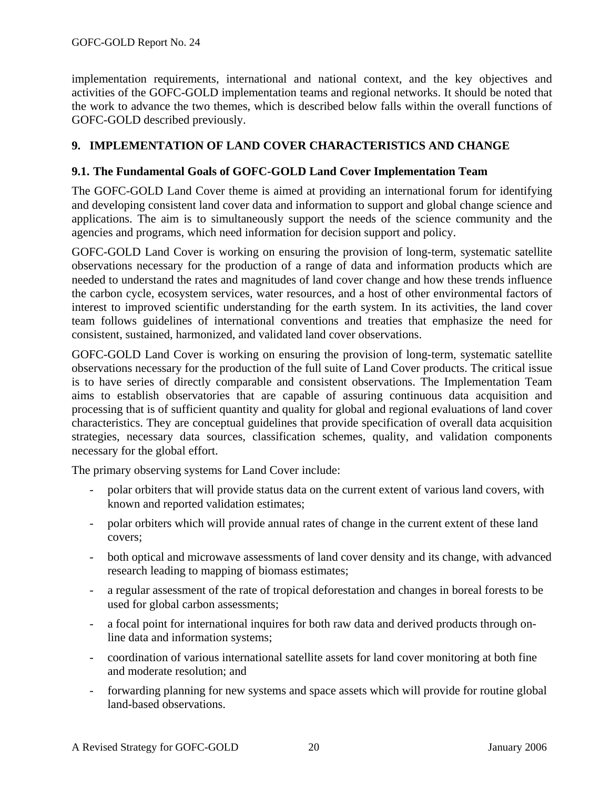implementation requirements, international and national context, and the key objectives and activities of the GOFC-GOLD implementation teams and regional networks. It should be noted that the work to advance the two themes, which is described below falls within the overall functions of GOFC-GOLD described previously.

### **9. IMPLEMENTATION OF LAND COVER CHARACTERISTICS AND CHANGE**

### **9.1. The Fundamental Goals of GOFC-GOLD Land Cover Implementation Team**

The GOFC-GOLD Land Cover theme is aimed at providing an international forum for identifying and developing consistent land cover data and information to support and global change science and applications. The aim is to simultaneously support the needs of the science community and the agencies and programs, which need information for decision support and policy.

GOFC-GOLD Land Cover is working on ensuring the provision of long-term, systematic satellite observations necessary for the production of a range of data and information products which are needed to understand the rates and magnitudes of land cover change and how these trends influence the carbon cycle, ecosystem services, water resources, and a host of other environmental factors of interest to improved scientific understanding for the earth system. In its activities, the land cover team follows guidelines of international conventions and treaties that emphasize the need for consistent, sustained, harmonized, and validated land cover observations.

GOFC-GOLD Land Cover is working on ensuring the provision of long-term, systematic satellite observations necessary for the production of the full suite of Land Cover products. The critical issue is to have series of directly comparable and consistent observations. The Implementation Team aims to establish observatories that are capable of assuring continuous data acquisition and processing that is of sufficient quantity and quality for global and regional evaluations of land cover characteristics. They are conceptual guidelines that provide specification of overall data acquisition strategies, necessary data sources, classification schemes, quality, and validation components necessary for the global effort.

The primary observing systems for Land Cover include:

- polar orbiters that will provide status data on the current extent of various land covers, with known and reported validation estimates;
- polar orbiters which will provide annual rates of change in the current extent of these land covers;
- both optical and microwave assessments of land cover density and its change, with advanced research leading to mapping of biomass estimates;
- a regular assessment of the rate of tropical deforestation and changes in boreal forests to be used for global carbon assessments;
- a focal point for international inquires for both raw data and derived products through online data and information systems;
- coordination of various international satellite assets for land cover monitoring at both fine and moderate resolution; and
- forwarding planning for new systems and space assets which will provide for routine global land-based observations.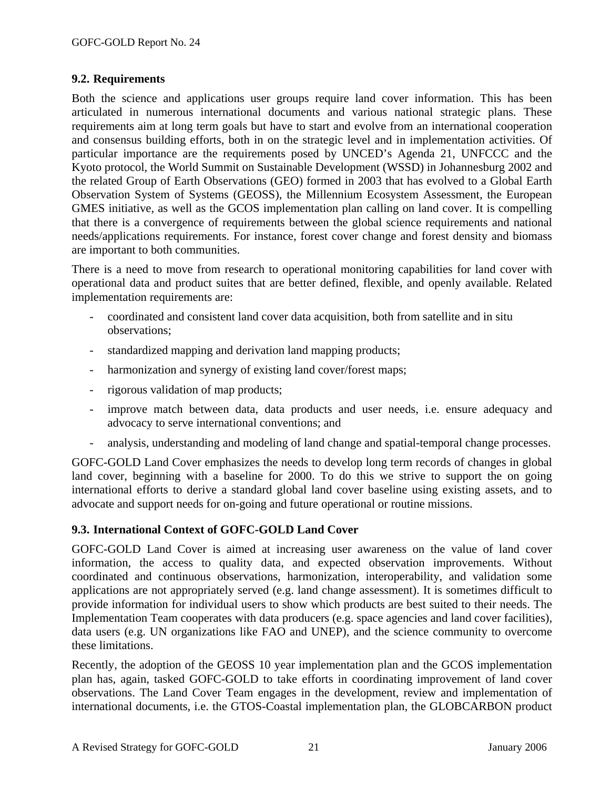#### **9.2. Requirements**

Both the science and applications user groups require land cover information. This has been articulated in numerous international documents and various national strategic plans. These requirements aim at long term goals but have to start and evolve from an international cooperation and consensus building efforts, both in on the strategic level and in implementation activities. Of particular importance are the requirements posed by UNCED's Agenda 21, UNFCCC and the Kyoto protocol, the World Summit on Sustainable Development (WSSD) in Johannesburg 2002 and the related Group of Earth Observations (GEO) formed in 2003 that has evolved to a Global Earth Observation System of Systems (GEOSS), the Millennium Ecosystem Assessment, the European GMES initiative, as well as the GCOS implementation plan calling on land cover. It is compelling that there is a convergence of requirements between the global science requirements and national needs/applications requirements. For instance, forest cover change and forest density and biomass are important to both communities.

There is a need to move from research to operational monitoring capabilities for land cover with operational data and product suites that are better defined, flexible, and openly available. Related implementation requirements are:

- coordinated and consistent land cover data acquisition, both from satellite and in situ observations;
- standardized mapping and derivation land mapping products;
- harmonization and synergy of existing land cover/forest maps;
- rigorous validation of map products;
- improve match between data, data products and user needs, i.e. ensure adequacy and advocacy to serve international conventions; and
- analysis, understanding and modeling of land change and spatial-temporal change processes.

GOFC-GOLD Land Cover emphasizes the needs to develop long term records of changes in global land cover, beginning with a baseline for 2000. To do this we strive to support the on going international efforts to derive a standard global land cover baseline using existing assets, and to advocate and support needs for on-going and future operational or routine missions.

#### **9.3. International Context of GOFC-GOLD Land Cover**

GOFC-GOLD Land Cover is aimed at increasing user awareness on the value of land cover information, the access to quality data, and expected observation improvements. Without coordinated and continuous observations, harmonization, interoperability, and validation some applications are not appropriately served (e.g. land change assessment). It is sometimes difficult to provide information for individual users to show which products are best suited to their needs. The Implementation Team cooperates with data producers (e.g. space agencies and land cover facilities), data users (e.g. UN organizations like FAO and UNEP), and the science community to overcome these limitations.

Recently, the adoption of the GEOSS 10 year implementation plan and the GCOS implementation plan has, again, tasked GOFC-GOLD to take efforts in coordinating improvement of land cover observations. The Land Cover Team engages in the development, review and implementation of international documents, i.e. the GTOS-Coastal implementation plan, the GLOBCARBON product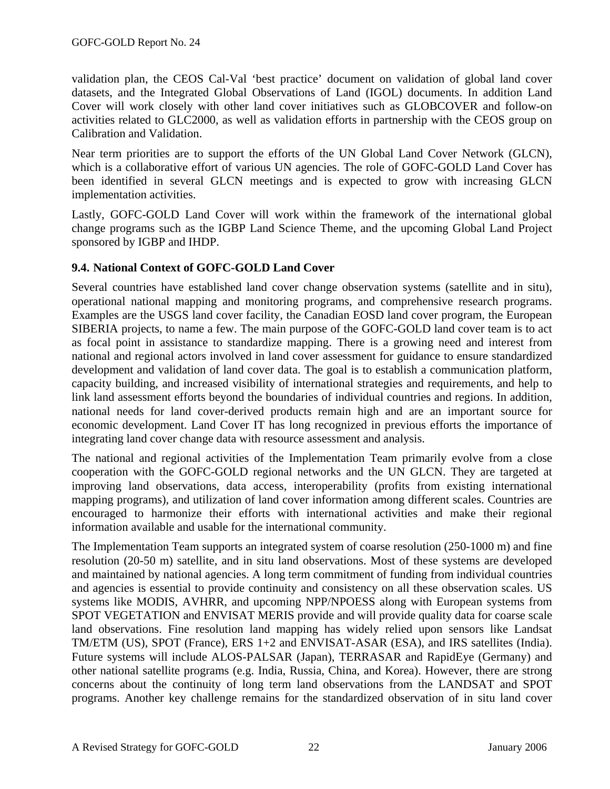validation plan, the CEOS Cal-Val 'best practice' document on validation of global land cover datasets, and the Integrated Global Observations of Land (IGOL) documents. In addition Land Cover will work closely with other land cover initiatives such as GLOBCOVER and follow-on activities related to GLC2000, as well as validation efforts in partnership with the CEOS group on Calibration and Validation.

Near term priorities are to support the efforts of the UN Global Land Cover Network (GLCN), which is a collaborative effort of various UN agencies. The role of GOFC-GOLD Land Cover has been identified in several GLCN meetings and is expected to grow with increasing GLCN implementation activities.

Lastly, GOFC-GOLD Land Cover will work within the framework of the international global change programs such as the IGBP Land Science Theme, and the upcoming Global Land Project sponsored by IGBP and IHDP.

### **9.4. National Context of GOFC-GOLD Land Cover**

Several countries have established land cover change observation systems (satellite and in situ), operational national mapping and monitoring programs, and comprehensive research programs. Examples are the USGS land cover facility, the Canadian EOSD land cover program, the European SIBERIA projects, to name a few. The main purpose of the GOFC-GOLD land cover team is to act as focal point in assistance to standardize mapping. There is a growing need and interest from national and regional actors involved in land cover assessment for guidance to ensure standardized development and validation of land cover data. The goal is to establish a communication platform, capacity building, and increased visibility of international strategies and requirements, and help to link land assessment efforts beyond the boundaries of individual countries and regions. In addition, national needs for land cover-derived products remain high and are an important source for economic development. Land Cover IT has long recognized in previous efforts the importance of integrating land cover change data with resource assessment and analysis.

The national and regional activities of the Implementation Team primarily evolve from a close cooperation with the GOFC-GOLD regional networks and the UN GLCN. They are targeted at improving land observations, data access, interoperability (profits from existing international mapping programs), and utilization of land cover information among different scales. Countries are encouraged to harmonize their efforts with international activities and make their regional information available and usable for the international community.

The Implementation Team supports an integrated system of coarse resolution (250-1000 m) and fine resolution (20-50 m) satellite, and in situ land observations. Most of these systems are developed and maintained by national agencies. A long term commitment of funding from individual countries and agencies is essential to provide continuity and consistency on all these observation scales. US systems like MODIS, AVHRR, and upcoming NPP/NPOESS along with European systems from SPOT VEGETATION and ENVISAT MERIS provide and will provide quality data for coarse scale land observations. Fine resolution land mapping has widely relied upon sensors like Landsat TM/ETM (US), SPOT (France), ERS 1+2 and ENVISAT-ASAR (ESA), and IRS satellites (India). Future systems will include ALOS-PALSAR (Japan), TERRASAR and RapidEye (Germany) and other national satellite programs (e.g. India, Russia, China, and Korea). However, there are strong concerns about the continuity of long term land observations from the LANDSAT and SPOT programs. Another key challenge remains for the standardized observation of in situ land cover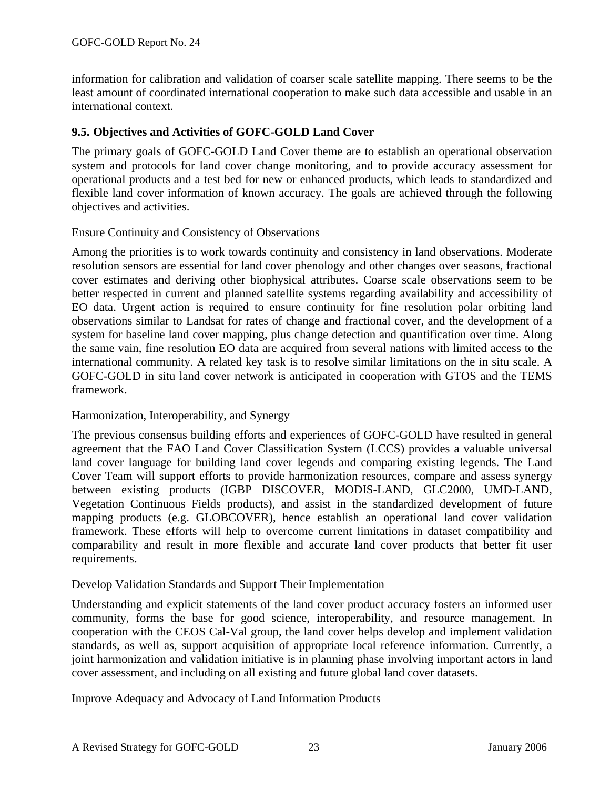information for calibration and validation of coarser scale satellite mapping. There seems to be the least amount of coordinated international cooperation to make such data accessible and usable in an international context.

### **9.5. Objectives and Activities of GOFC-GOLD Land Cover**

The primary goals of GOFC-GOLD Land Cover theme are to establish an operational observation system and protocols for land cover change monitoring, and to provide accuracy assessment for operational products and a test bed for new or enhanced products, which leads to standardized and flexible land cover information of known accuracy. The goals are achieved through the following objectives and activities.

#### Ensure Continuity and Consistency of Observations

Among the priorities is to work towards continuity and consistency in land observations. Moderate resolution sensors are essential for land cover phenology and other changes over seasons, fractional cover estimates and deriving other biophysical attributes. Coarse scale observations seem to be better respected in current and planned satellite systems regarding availability and accessibility of EO data. Urgent action is required to ensure continuity for fine resolution polar orbiting land observations similar to Landsat for rates of change and fractional cover, and the development of a system for baseline land cover mapping, plus change detection and quantification over time. Along the same vain, fine resolution EO data are acquired from several nations with limited access to the international community. A related key task is to resolve similar limitations on the in situ scale. A GOFC-GOLD in situ land cover network is anticipated in cooperation with GTOS and the TEMS framework.

#### Harmonization, Interoperability, and Synergy

The previous consensus building efforts and experiences of GOFC-GOLD have resulted in general agreement that the FAO Land Cover Classification System (LCCS) provides a valuable universal land cover language for building land cover legends and comparing existing legends. The Land Cover Team will support efforts to provide harmonization resources, compare and assess synergy between existing products (IGBP DISCOVER, MODIS-LAND, GLC2000, UMD-LAND, Vegetation Continuous Fields products), and assist in the standardized development of future mapping products (e.g. GLOBCOVER), hence establish an operational land cover validation framework. These efforts will help to overcome current limitations in dataset compatibility and comparability and result in more flexible and accurate land cover products that better fit user requirements.

#### Develop Validation Standards and Support Their Implementation

Understanding and explicit statements of the land cover product accuracy fosters an informed user community, forms the base for good science, interoperability, and resource management. In cooperation with the CEOS Cal-Val group, the land cover helps develop and implement validation standards, as well as, support acquisition of appropriate local reference information. Currently, a joint harmonization and validation initiative is in planning phase involving important actors in land cover assessment, and including on all existing and future global land cover datasets.

Improve Adequacy and Advocacy of Land Information Products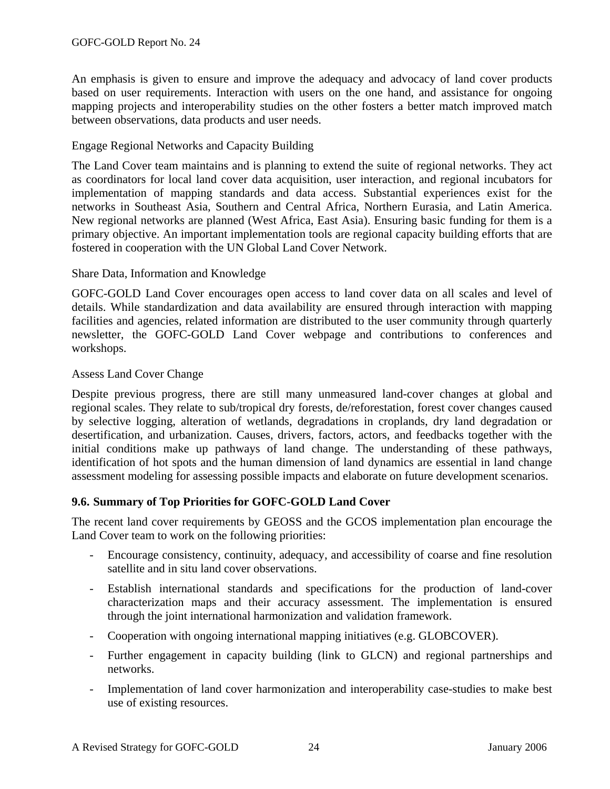An emphasis is given to ensure and improve the adequacy and advocacy of land cover products based on user requirements. Interaction with users on the one hand, and assistance for ongoing mapping projects and interoperability studies on the other fosters a better match improved match between observations, data products and user needs.

#### Engage Regional Networks and Capacity Building

The Land Cover team maintains and is planning to extend the suite of regional networks. They act as coordinators for local land cover data acquisition, user interaction, and regional incubators for implementation of mapping standards and data access. Substantial experiences exist for the networks in Southeast Asia, Southern and Central Africa, Northern Eurasia, and Latin America. New regional networks are planned (West Africa, East Asia). Ensuring basic funding for them is a primary objective. An important implementation tools are regional capacity building efforts that are fostered in cooperation with the UN Global Land Cover Network.

#### Share Data, Information and Knowledge

GOFC-GOLD Land Cover encourages open access to land cover data on all scales and level of details. While standardization and data availability are ensured through interaction with mapping facilities and agencies, related information are distributed to the user community through quarterly newsletter, the GOFC-GOLD Land Cover webpage and contributions to conferences and workshops.

#### Assess Land Cover Change

Despite previous progress, there are still many unmeasured land-cover changes at global and regional scales. They relate to sub/tropical dry forests, de/reforestation, forest cover changes caused by selective logging, alteration of wetlands, degradations in croplands, dry land degradation or desertification, and urbanization. Causes, drivers, factors, actors, and feedbacks together with the initial conditions make up pathways of land change. The understanding of these pathways, identification of hot spots and the human dimension of land dynamics are essential in land change assessment modeling for assessing possible impacts and elaborate on future development scenarios.

### **9.6. Summary of Top Priorities for GOFC-GOLD Land Cover**

The recent land cover requirements by GEOSS and the GCOS implementation plan encourage the Land Cover team to work on the following priorities:

- Encourage consistency, continuity, adequacy, and accessibility of coarse and fine resolution satellite and in situ land cover observations.
- Establish international standards and specifications for the production of land-cover characterization maps and their accuracy assessment. The implementation is ensured through the joint international harmonization and validation framework.
- Cooperation with ongoing international mapping initiatives (e.g. GLOBCOVER).
- Further engagement in capacity building (link to GLCN) and regional partnerships and networks.
- Implementation of land cover harmonization and interoperability case-studies to make best use of existing resources.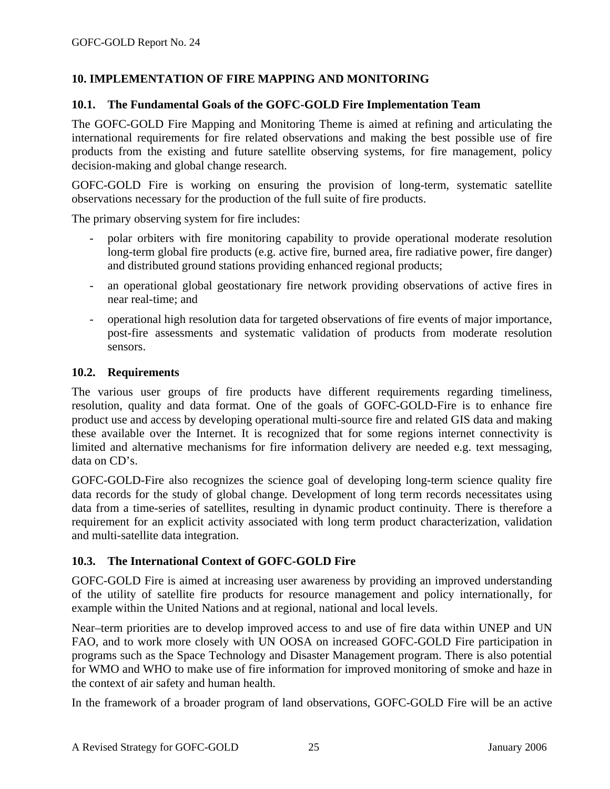### **10. IMPLEMENTATION OF FIRE MAPPING AND MONITORING**

#### **10.1. The Fundamental Goals of the GOFC-GOLD Fire Implementation Team**

The GOFC-GOLD Fire Mapping and Monitoring Theme is aimed at refining and articulating the international requirements for fire related observations and making the best possible use of fire products from the existing and future satellite observing systems, for fire management, policy decision-making and global change research.

GOFC-GOLD Fire is working on ensuring the provision of long-term, systematic satellite observations necessary for the production of the full suite of fire products.

The primary observing system for fire includes:

- polar orbiters with fire monitoring capability to provide operational moderate resolution long-term global fire products (e.g. active fire, burned area, fire radiative power, fire danger) and distributed ground stations providing enhanced regional products;
- an operational global geostationary fire network providing observations of active fires in near real-time; and
- operational high resolution data for targeted observations of fire events of major importance, post-fire assessments and systematic validation of products from moderate resolution sensors.

#### **10.2. Requirements**

The various user groups of fire products have different requirements regarding timeliness, resolution, quality and data format. One of the goals of GOFC-GOLD-Fire is to enhance fire product use and access by developing operational multi-source fire and related GIS data and making these available over the Internet. It is recognized that for some regions internet connectivity is limited and alternative mechanisms for fire information delivery are needed e.g. text messaging, data on CD's.

GOFC-GOLD-Fire also recognizes the science goal of developing long-term science quality fire data records for the study of global change. Development of long term records necessitates using data from a time-series of satellites, resulting in dynamic product continuity. There is therefore a requirement for an explicit activity associated with long term product characterization, validation and multi-satellite data integration.

### **10.3. The International Context of GOFC-GOLD Fire**

GOFC-GOLD Fire is aimed at increasing user awareness by providing an improved understanding of the utility of satellite fire products for resource management and policy internationally, for example within the United Nations and at regional, national and local levels.

Near–term priorities are to develop improved access to and use of fire data within UNEP and UN FAO, and to work more closely with UN OOSA on increased GOFC-GOLD Fire participation in programs such as the Space Technology and Disaster Management program. There is also potential for WMO and WHO to make use of fire information for improved monitoring of smoke and haze in the context of air safety and human health.

In the framework of a broader program of land observations, GOFC-GOLD Fire will be an active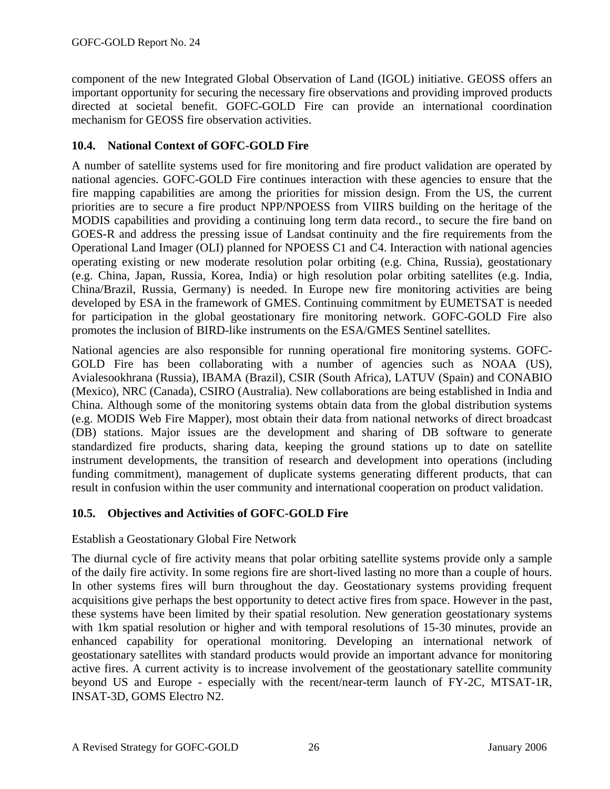component of the new Integrated Global Observation of Land (IGOL) initiative. GEOSS offers an important opportunity for securing the necessary fire observations and providing improved products directed at societal benefit. GOFC-GOLD Fire can provide an international coordination mechanism for GEOSS fire observation activities.

### **10.4. National Context of GOFC-GOLD Fire**

A number of satellite systems used for fire monitoring and fire product validation are operated by national agencies. GOFC-GOLD Fire continues interaction with these agencies to ensure that the fire mapping capabilities are among the priorities for mission design. From the US, the current priorities are to secure a fire product NPP/NPOESS from VIIRS building on the heritage of the MODIS capabilities and providing a continuing long term data record., to secure the fire band on GOES-R and address the pressing issue of Landsat continuity and the fire requirements from the Operational Land Imager (OLI) planned for NPOESS C1 and C4. Interaction with national agencies operating existing or new moderate resolution polar orbiting (e.g. China, Russia), geostationary (e.g. China, Japan, Russia, Korea, India) or high resolution polar orbiting satellites (e.g. India, China/Brazil, Russia, Germany) is needed. In Europe new fire monitoring activities are being developed by ESA in the framework of GMES. Continuing commitment by EUMETSAT is needed for participation in the global geostationary fire monitoring network. GOFC-GOLD Fire also promotes the inclusion of BIRD-like instruments on the ESA/GMES Sentinel satellites.

National agencies are also responsible for running operational fire monitoring systems. GOFC-GOLD Fire has been collaborating with a number of agencies such as NOAA (US), Avialesookhrana (Russia), IBAMA (Brazil), CSIR (South Africa), LATUV (Spain) and CONABIO (Mexico), NRC (Canada), CSIRO (Australia). New collaborations are being established in India and China. Although some of the monitoring systems obtain data from the global distribution systems (e.g. MODIS Web Fire Mapper), most obtain their data from national networks of direct broadcast (DB) stations. Major issues are the development and sharing of DB software to generate standardized fire products, sharing data, keeping the ground stations up to date on satellite instrument developments, the transition of research and development into operations (including funding commitment), management of duplicate systems generating different products, that can result in confusion within the user community and international cooperation on product validation.

### **10.5. Objectives and Activities of GOFC-GOLD Fire**

Establish a Geostationary Global Fire Network

The diurnal cycle of fire activity means that polar orbiting satellite systems provide only a sample of the daily fire activity. In some regions fire are short-lived lasting no more than a couple of hours. In other systems fires will burn throughout the day. Geostationary systems providing frequent acquisitions give perhaps the best opportunity to detect active fires from space. However in the past, these systems have been limited by their spatial resolution. New generation geostationary systems with 1km spatial resolution or higher and with temporal resolutions of 15-30 minutes, provide an enhanced capability for operational monitoring. Developing an international network of geostationary satellites with standard products would provide an important advance for monitoring active fires. A current activity is to increase involvement of the geostationary satellite community beyond US and Europe - especially with the recent/near-term launch of FY-2C, MTSAT-1R, INSAT-3D, GOMS Electro N2.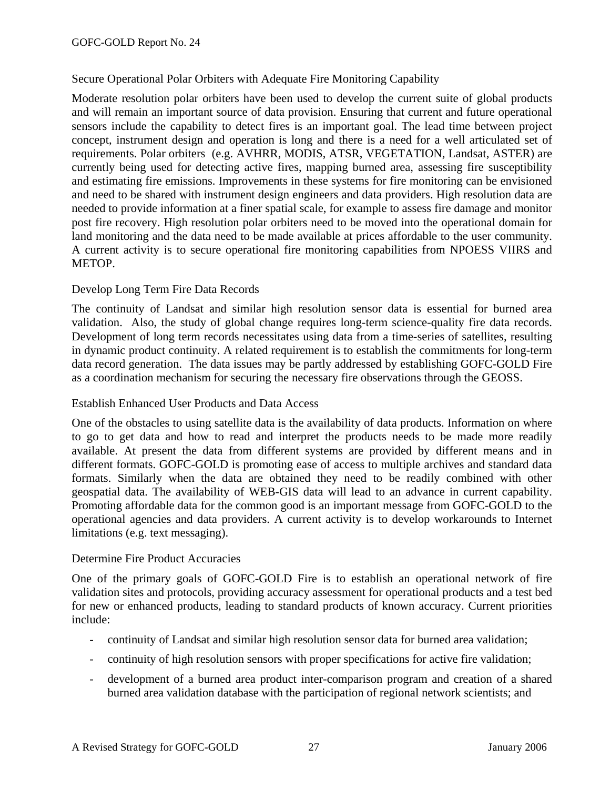### Secure Operational Polar Orbiters with Adequate Fire Monitoring Capability

Moderate resolution polar orbiters have been used to develop the current suite of global products and will remain an important source of data provision. Ensuring that current and future operational sensors include the capability to detect fires is an important goal. The lead time between project concept, instrument design and operation is long and there is a need for a well articulated set of requirements. Polar orbiters (e.g. AVHRR, MODIS, ATSR, VEGETATION, Landsat, ASTER) are currently being used for detecting active fires, mapping burned area, assessing fire susceptibility and estimating fire emissions. Improvements in these systems for fire monitoring can be envisioned and need to be shared with instrument design engineers and data providers. High resolution data are needed to provide information at a finer spatial scale, for example to assess fire damage and monitor post fire recovery. High resolution polar orbiters need to be moved into the operational domain for land monitoring and the data need to be made available at prices affordable to the user community. A current activity is to secure operational fire monitoring capabilities from NPOESS VIIRS and METOP.

#### Develop Long Term Fire Data Records

The continuity of Landsat and similar high resolution sensor data is essential for burned area validation. Also, the study of global change requires long-term science-quality fire data records. Development of long term records necessitates using data from a time-series of satellites, resulting in dynamic product continuity. A related requirement is to establish the commitments for long-term data record generation. The data issues may be partly addressed by establishing GOFC-GOLD Fire as a coordination mechanism for securing the necessary fire observations through the GEOSS.

#### Establish Enhanced User Products and Data Access

One of the obstacles to using satellite data is the availability of data products. Information on where to go to get data and how to read and interpret the products needs to be made more readily available. At present the data from different systems are provided by different means and in different formats. GOFC-GOLD is promoting ease of access to multiple archives and standard data formats. Similarly when the data are obtained they need to be readily combined with other geospatial data. The availability of WEB-GIS data will lead to an advance in current capability. Promoting affordable data for the common good is an important message from GOFC-GOLD to the operational agencies and data providers. A current activity is to develop workarounds to Internet limitations (e.g. text messaging).

#### Determine Fire Product Accuracies

One of the primary goals of GOFC-GOLD Fire is to establish an operational network of fire validation sites and protocols, providing accuracy assessment for operational products and a test bed for new or enhanced products, leading to standard products of known accuracy. Current priorities include:

- continuity of Landsat and similar high resolution sensor data for burned area validation;
- continuity of high resolution sensors with proper specifications for active fire validation;
- development of a burned area product inter-comparison program and creation of a shared burned area validation database with the participation of regional network scientists; and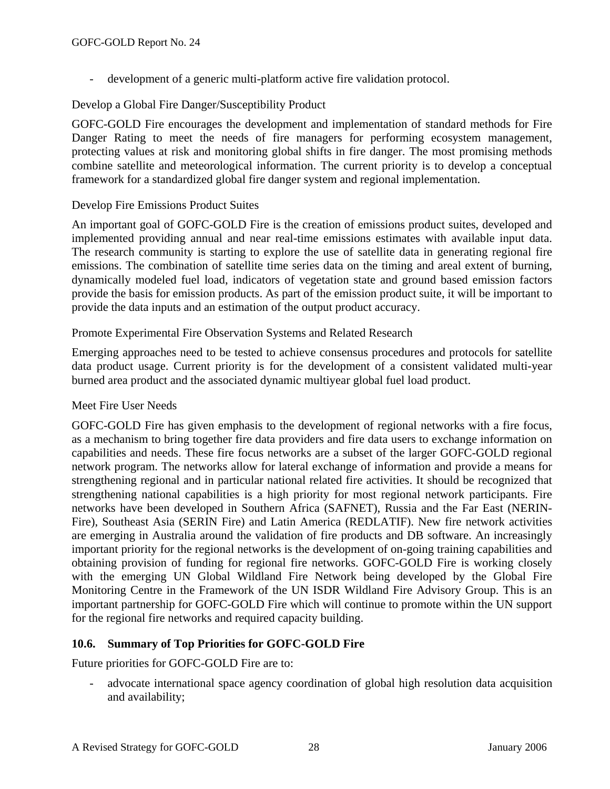- development of a generic multi-platform active fire validation protocol.

### Develop a Global Fire Danger/Susceptibility Product

GOFC-GOLD Fire encourages the development and implementation of standard methods for Fire Danger Rating to meet the needs of fire managers for performing ecosystem management, protecting values at risk and monitoring global shifts in fire danger. The most promising methods combine satellite and meteorological information. The current priority is to develop a conceptual framework for a standardized global fire danger system and regional implementation.

### Develop Fire Emissions Product Suites

An important goal of GOFC-GOLD Fire is the creation of emissions product suites, developed and implemented providing annual and near real-time emissions estimates with available input data. The research community is starting to explore the use of satellite data in generating regional fire emissions. The combination of satellite time series data on the timing and areal extent of burning, dynamically modeled fuel load, indicators of vegetation state and ground based emission factors provide the basis for emission products. As part of the emission product suite, it will be important to provide the data inputs and an estimation of the output product accuracy.

### Promote Experimental Fire Observation Systems and Related Research

Emerging approaches need to be tested to achieve consensus procedures and protocols for satellite data product usage. Current priority is for the development of a consistent validated multi-year burned area product and the associated dynamic multiyear global fuel load product.

### Meet Fire User Needs

GOFC-GOLD Fire has given emphasis to the development of regional networks with a fire focus, as a mechanism to bring together fire data providers and fire data users to exchange information on capabilities and needs. These fire focus networks are a subset of the larger GOFC-GOLD regional network program. The networks allow for lateral exchange of information and provide a means for strengthening regional and in particular national related fire activities. It should be recognized that strengthening national capabilities is a high priority for most regional network participants. Fire networks have been developed in Southern Africa (SAFNET), Russia and the Far East (NERIN-Fire), Southeast Asia (SERIN Fire) and Latin America (REDLATIF). New fire network activities are emerging in Australia around the validation of fire products and DB software. An increasingly important priority for the regional networks is the development of on-going training capabilities and obtaining provision of funding for regional fire networks. GOFC-GOLD Fire is working closely with the emerging UN Global Wildland Fire Network being developed by the Global Fire Monitoring Centre in the Framework of the UN ISDR Wildland Fire Advisory Group. This is an important partnership for GOFC-GOLD Fire which will continue to promote within the UN support for the regional fire networks and required capacity building.

### **10.6. Summary of Top Priorities for GOFC-GOLD Fire**

Future priorities for GOFC-GOLD Fire are to:

advocate international space agency coordination of global high resolution data acquisition and availability;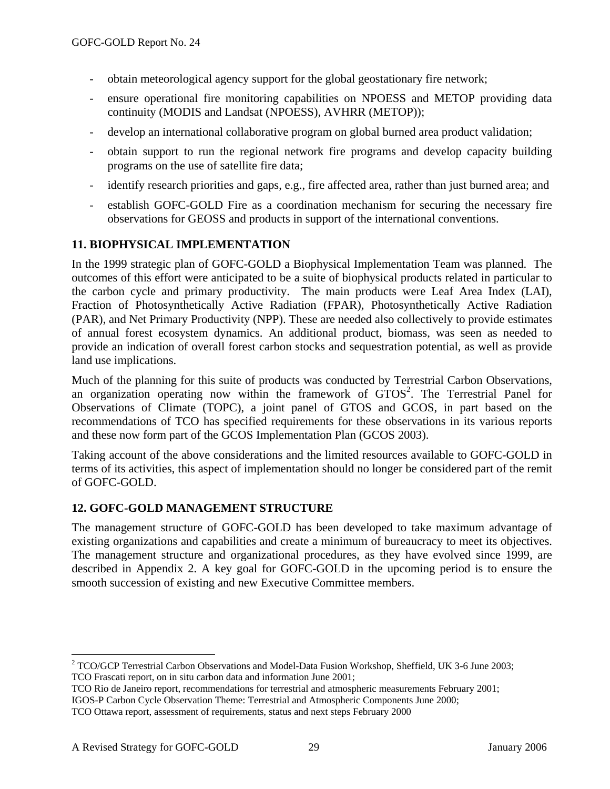- obtain meteorological agency support for the global geostationary fire network;
- ensure operational fire monitoring capabilities on NPOESS and METOP providing data continuity (MODIS and Landsat (NPOESS), AVHRR (METOP));
- develop an international collaborative program on global burned area product validation;
- obtain support to run the regional network fire programs and develop capacity building programs on the use of satellite fire data;
- identify research priorities and gaps, e.g., fire affected area, rather than just burned area; and
- establish GOFC-GOLD Fire as a coordination mechanism for securing the necessary fire observations for GEOSS and products in support of the international conventions.

### **11. BIOPHYSICAL IMPLEMENTATION**

In the 1999 strategic plan of GOFC-GOLD a Biophysical Implementation Team was planned. The outcomes of this effort were anticipated to be a suite of biophysical products related in particular to the carbon cycle and primary productivity. The main products were Leaf Area Index (LAI), Fraction of Photosynthetically Active Radiation (FPAR), Photosynthetically Active Radiation (PAR), and Net Primary Productivity (NPP). These are needed also collectively to provide estimates of annual forest ecosystem dynamics. An additional product, biomass, was seen as needed to provide an indication of overall forest carbon stocks and sequestration potential, as well as provide land use implications.

Much of the planning for this suite of products was conducted by Terrestrial Carbon Observations, an organization operating now within the framework of  $GTOS<sup>2</sup>$ . The Terrestrial Panel for Observations of Climate (TOPC), a joint panel of GTOS and GCOS, in part based on the recommendations of TCO has specified requirements for these observations in its various reports and these now form part of the GCOS Implementation Plan (GCOS 2003).

Taking account of the above considerations and the limited resources available to GOFC-GOLD in terms of its activities, this aspect of implementation should no longer be considered part of the remit of GOFC-GOLD.

### **12. GOFC-GOLD MANAGEMENT STRUCTURE**

The management structure of GOFC-GOLD has been developed to take maximum advantage of existing organizations and capabilities and create a minimum of bureaucracy to meet its objectives. The management structure and organizational procedures, as they have evolved since 1999, are described in Appendix 2. A key goal for GOFC-GOLD in the upcoming period is to ensure the smooth succession of existing and new Executive Committee members.

 $\overline{a}$ 

 $2^2$  TCO/GCP Terrestrial Carbon Observations and Model-Data Fusion Workshop, Sheffield, UK 3-6 June 2003; TCO Frascati report, on in situ carbon data and information June 2001;

TCO Rio de Janeiro report, recommendations for terrestrial and atmospheric measurements February 2001;

IGOS-P Carbon Cycle Observation Theme: Terrestrial and Atmospheric Components June 2000;

TCO Ottawa report, assessment of requirements, status and next steps February 2000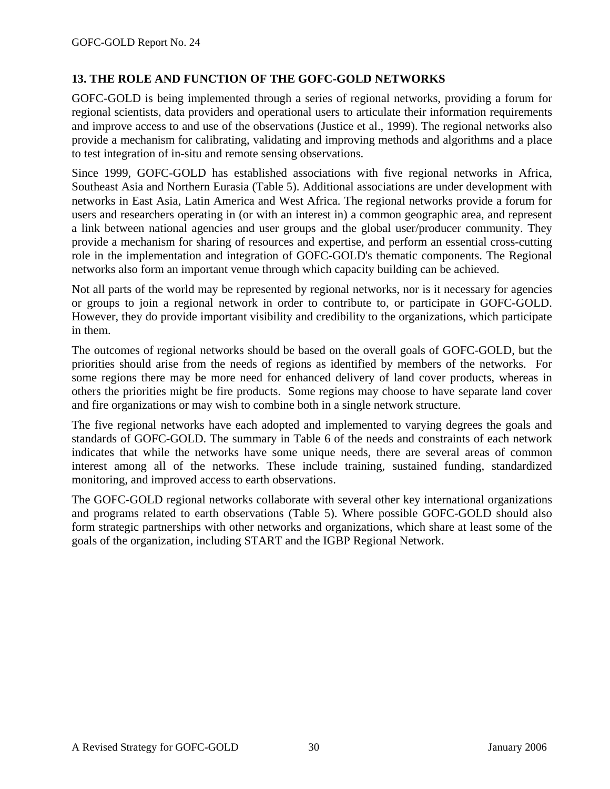### **13. THE ROLE AND FUNCTION OF THE GOFC-GOLD NETWORKS**

GOFC-GOLD is being implemented through a series of regional networks, providing a forum for regional scientists, data providers and operational users to articulate their information requirements and improve access to and use of the observations (Justice et al., 1999). The regional networks also provide a mechanism for calibrating, validating and improving methods and algorithms and a place to test integration of in-situ and remote sensing observations.

Since 1999, GOFC-GOLD has established associations with five regional networks in Africa, Southeast Asia and Northern Eurasia (Table 5). Additional associations are under development with networks in East Asia, Latin America and West Africa. The regional networks provide a forum for users and researchers operating in (or with an interest in) a common geographic area, and represent a link between national agencies and user groups and the global user/producer community. They provide a mechanism for sharing of resources and expertise, and perform an essential cross-cutting role in the implementation and integration of GOFC-GOLD's thematic components. The Regional networks also form an important venue through which capacity building can be achieved.

Not all parts of the world may be represented by regional networks, nor is it necessary for agencies or groups to join a regional network in order to contribute to, or participate in GOFC-GOLD. However, they do provide important visibility and credibility to the organizations, which participate in them.

The outcomes of regional networks should be based on the overall goals of GOFC-GOLD, but the priorities should arise from the needs of regions as identified by members of the networks. For some regions there may be more need for enhanced delivery of land cover products, whereas in others the priorities might be fire products. Some regions may choose to have separate land cover and fire organizations or may wish to combine both in a single network structure.

The five regional networks have each adopted and implemented to varying degrees the goals and standards of GOFC-GOLD. The summary in Table 6 of the needs and constraints of each network indicates that while the networks have some unique needs, there are several areas of common interest among all of the networks. These include training, sustained funding, standardized monitoring, and improved access to earth observations.

The GOFC-GOLD regional networks collaborate with several other key international organizations and programs related to earth observations (Table 5). Where possible GOFC-GOLD should also form strategic partnerships with other networks and organizations, which share at least some of the goals of the organization, including START and the IGBP Regional Network.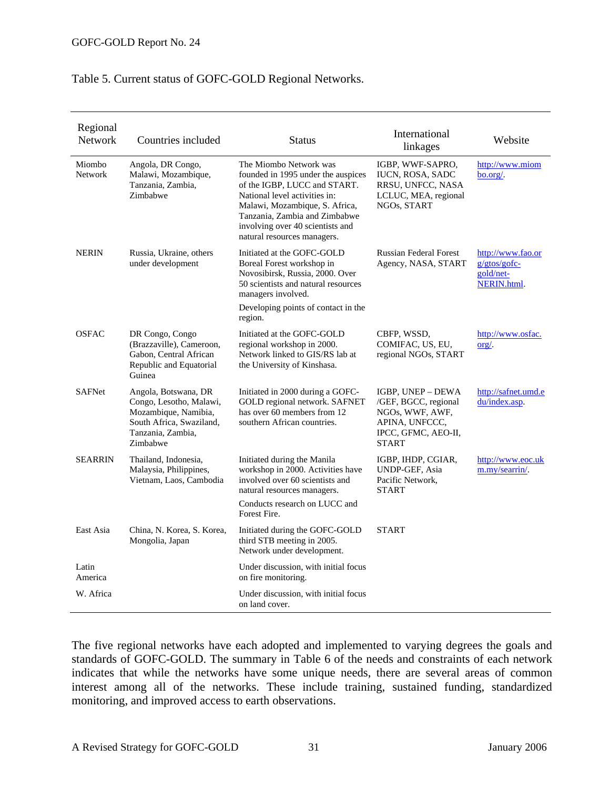### Table 5. Current status of GOFC-GOLD Regional Networks.

| Regional<br><b>Network</b> | Countries included                                                                                                                   | <b>Status</b>                                                                                                                                                                                                                                                       | International<br>linkages                                                                                             | Website                                                         |
|----------------------------|--------------------------------------------------------------------------------------------------------------------------------------|---------------------------------------------------------------------------------------------------------------------------------------------------------------------------------------------------------------------------------------------------------------------|-----------------------------------------------------------------------------------------------------------------------|-----------------------------------------------------------------|
| Miombo<br><b>Network</b>   | Angola, DR Congo,<br>Malawi, Mozambique,<br>Tanzania, Zambia,<br>Zimbabwe                                                            | The Miombo Network was<br>founded in 1995 under the auspices<br>of the IGBP, LUCC and START.<br>National level activities in:<br>Malawi, Mozambique, S. Africa,<br>Tanzania, Zambia and Zimbabwe<br>involving over 40 scientists and<br>natural resources managers. | IGBP, WWF-SAPRO,<br><b>IUCN, ROSA, SADC</b><br>RRSU, UNFCC, NASA<br>LCLUC, MEA, regional<br>NGOs, START               | http://www.miom<br>bo.org/.                                     |
| <b>NERIN</b>               | Russia, Ukraine, others<br>under development                                                                                         | Initiated at the GOFC-GOLD<br>Boreal Forest workshop in<br>Novosibirsk, Russia, 2000. Over<br>50 scientists and natural resources<br>managers involved.<br>Developing points of contact in the<br>region.                                                           | <b>Russian Federal Forest</b><br>Agency, NASA, START                                                                  | http://www.fao.or<br>$g/gtos/gofc-$<br>gold/net-<br>NERIN.html. |
| <b>OSFAC</b>               | DR Congo, Congo<br>(Brazzaville), Cameroon,<br>Gabon, Central African<br>Republic and Equatorial<br>Guinea                           | Initiated at the GOFC-GOLD<br>regional workshop in 2000.<br>Network linked to GIS/RS lab at<br>the University of Kinshasa.                                                                                                                                          | CBFP, WSSD,<br>COMIFAC, US, EU,<br>regional NGOs, START                                                               | http://www.osfac.<br>$\text{org}/.$                             |
| <b>SAFNet</b>              | Angola, Botswana, DR<br>Congo, Lesotho, Malawi,<br>Mozambique, Namibia,<br>South Africa, Swaziland,<br>Tanzania, Zambia,<br>Zimbabwe | Initiated in 2000 during a GOFC-<br>GOLD regional network. SAFNET<br>has over 60 members from 12<br>southern African countries.                                                                                                                                     | IGBP, UNEP - DEWA<br>/GEF, BGCC, regional<br>NGOs, WWF, AWF,<br>APINA, UNFCCC,<br>IPCC, GFMC, AEO-II,<br><b>START</b> | http://safnet.umd.e<br>du/index.asp.                            |
| <b>SEARRIN</b>             | Thailand, Indonesia,<br>Malaysia, Philippines,<br>Vietnam, Laos, Cambodia                                                            | Initiated during the Manila<br>workshop in 2000. Activities have<br>involved over 60 scientists and<br>natural resources managers.<br>Conducts research on LUCC and<br>Forest Fire.                                                                                 | IGBP, IHDP, CGIAR,<br><b>UNDP-GEF, Asia</b><br>Pacific Network,<br><b>START</b>                                       | http://www.eoc.uk<br>m.my/searrin/.                             |
| East Asia                  | China, N. Korea, S. Korea,<br>Mongolia, Japan                                                                                        | Initiated during the GOFC-GOLD<br>third STB meeting in 2005.<br>Network under development.                                                                                                                                                                          | <b>START</b>                                                                                                          |                                                                 |
| Latin<br>America           |                                                                                                                                      | Under discussion, with initial focus<br>on fire monitoring.                                                                                                                                                                                                         |                                                                                                                       |                                                                 |
| W. Africa                  |                                                                                                                                      | Under discussion, with initial focus<br>on land cover.                                                                                                                                                                                                              |                                                                                                                       |                                                                 |

The five regional networks have each adopted and implemented to varying degrees the goals and standards of GOFC-GOLD. The summary in Table 6 of the needs and constraints of each network indicates that while the networks have some unique needs, there are several areas of common interest among all of the networks. These include training, sustained funding, standardized monitoring, and improved access to earth observations.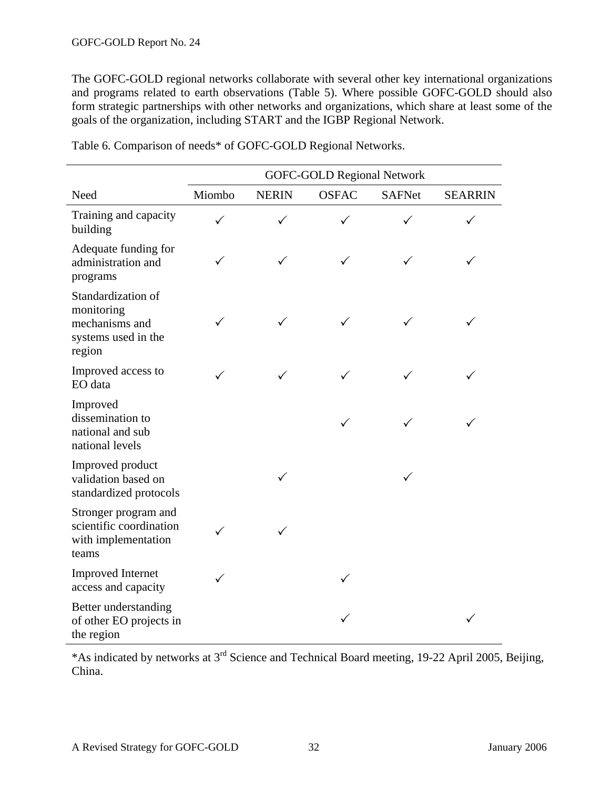The GOFC-GOLD regional networks collaborate with several other key international organizations and programs related to earth observations (Table 5). Where possible GOFC-GOLD should also form strategic partnerships with other networks and organizations, which share at least some of the goals of the organization, including START and the IGBP Regional Network.

|                                                                                     |        |              | <b>GOFC-GOLD Regional Network</b> |               |                |
|-------------------------------------------------------------------------------------|--------|--------------|-----------------------------------|---------------|----------------|
| Need                                                                                | Miombo | <b>NERIN</b> | <b>OSFAC</b>                      | <b>SAFNet</b> | <b>SEARRIN</b> |
| Training and capacity<br>building                                                   |        |              |                                   |               |                |
| Adequate funding for<br>administration and<br>programs                              | ✓      |              |                                   |               |                |
| Standardization of<br>monitoring<br>mechanisms and<br>systems used in the<br>region |        | $\checkmark$ |                                   |               |                |
| Improved access to<br>EO data                                                       | ✓      |              |                                   |               |                |
| Improved<br>dissemination to<br>national and sub<br>national levels                 |        |              |                                   |               |                |
| Improved product<br>validation based on<br>standardized protocols                   |        |              |                                   | ✓             |                |
| Stronger program and<br>scientific coordination<br>with implementation<br>teams     | ✓      |              |                                   |               |                |
| <b>Improved Internet</b><br>access and capacity                                     | ✓      |              |                                   |               |                |
| Better understanding<br>of other EO projects in<br>the region                       |        |              |                                   |               |                |

Table 6. Comparison of needs\* of GOFC-GOLD Regional Networks.

\*As indicated by networks at 3rd Science and Technical Board meeting, 19-22 April 2005, Beijing, China.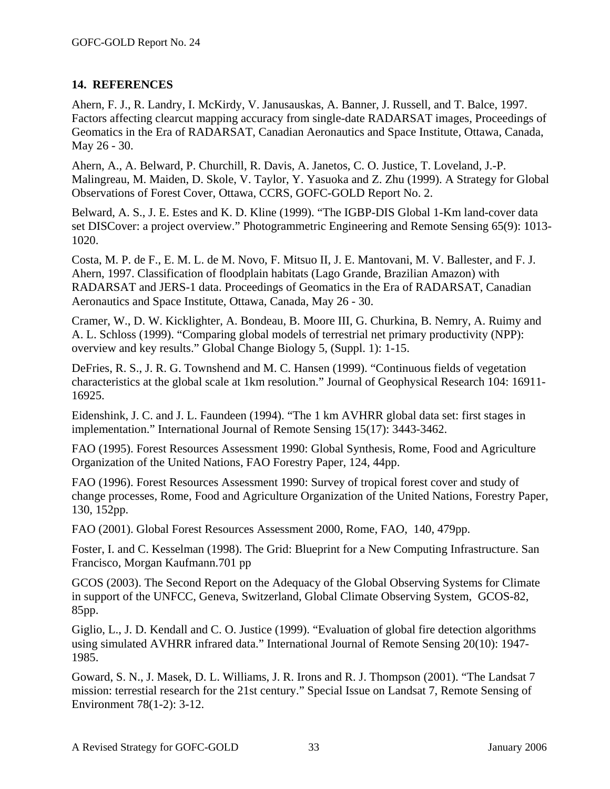### **14. REFERENCES**

Ahern, F. J., R. Landry, I. McKirdy, V. Janusauskas, A. Banner, J. Russell, and T. Balce, 1997. Factors affecting clearcut mapping accuracy from single-date RADARSAT images, Proceedings of Geomatics in the Era of RADARSAT, Canadian Aeronautics and Space Institute, Ottawa, Canada, May 26 - 30.

Ahern, A., A. Belward, P. Churchill, R. Davis, A. Janetos, C. O. Justice, T. Loveland, J.-P. Malingreau, M. Maiden, D. Skole, V. Taylor, Y. Yasuoka and Z. Zhu (1999). A Strategy for Global Observations of Forest Cover, Ottawa, CCRS, GOFC-GOLD Report No. 2.

Belward, A. S., J. E. Estes and K. D. Kline (1999). "The IGBP-DIS Global 1-Km land-cover data set DISCover: a project overview." Photogrammetric Engineering and Remote Sensing 65(9): 1013- 1020.

Costa, M. P. de F., E. M. L. de M. Novo, F. Mitsuo II, J. E. Mantovani, M. V. Ballester, and F. J. Ahern, 1997. Classification of floodplain habitats (Lago Grande, Brazilian Amazon) with RADARSAT and JERS-1 data. Proceedings of Geomatics in the Era of RADARSAT, Canadian Aeronautics and Space Institute, Ottawa, Canada, May 26 - 30.

Cramer, W., D. W. Kicklighter, A. Bondeau, B. Moore III, G. Churkina, B. Nemry, A. Ruimy and A. L. Schloss (1999). "Comparing global models of terrestrial net primary productivity (NPP): overview and key results." Global Change Biology 5, (Suppl. 1): 1-15.

DeFries, R. S., J. R. G. Townshend and M. C. Hansen (1999). "Continuous fields of vegetation characteristics at the global scale at 1km resolution." Journal of Geophysical Research 104: 16911- 16925.

Eidenshink, J. C. and J. L. Faundeen (1994). "The 1 km AVHRR global data set: first stages in implementation." International Journal of Remote Sensing 15(17): 3443-3462.

FAO (1995). Forest Resources Assessment 1990: Global Synthesis, Rome, Food and Agriculture Organization of the United Nations, FAO Forestry Paper, 124, 44pp.

FAO (1996). Forest Resources Assessment 1990: Survey of tropical forest cover and study of change processes, Rome, Food and Agriculture Organization of the United Nations, Forestry Paper, 130, 152pp.

FAO (2001). Global Forest Resources Assessment 2000, Rome, FAO, 140, 479pp.

Foster, I. and C. Kesselman (1998). The Grid: Blueprint for a New Computing Infrastructure. San Francisco, Morgan Kaufmann.701 pp

GCOS (2003). The Second Report on the Adequacy of the Global Observing Systems for Climate in support of the UNFCC, Geneva, Switzerland, Global Climate Observing System, GCOS-82, 85pp.

Giglio, L., J. D. Kendall and C. O. Justice (1999). "Evaluation of global fire detection algorithms using simulated AVHRR infrared data." International Journal of Remote Sensing 20(10): 1947- 1985.

Goward, S. N., J. Masek, D. L. Williams, J. R. Irons and R. J. Thompson (2001). "The Landsat 7 mission: terrestial research for the 21st century." Special Issue on Landsat 7, Remote Sensing of Environment 78(1-2): 3-12.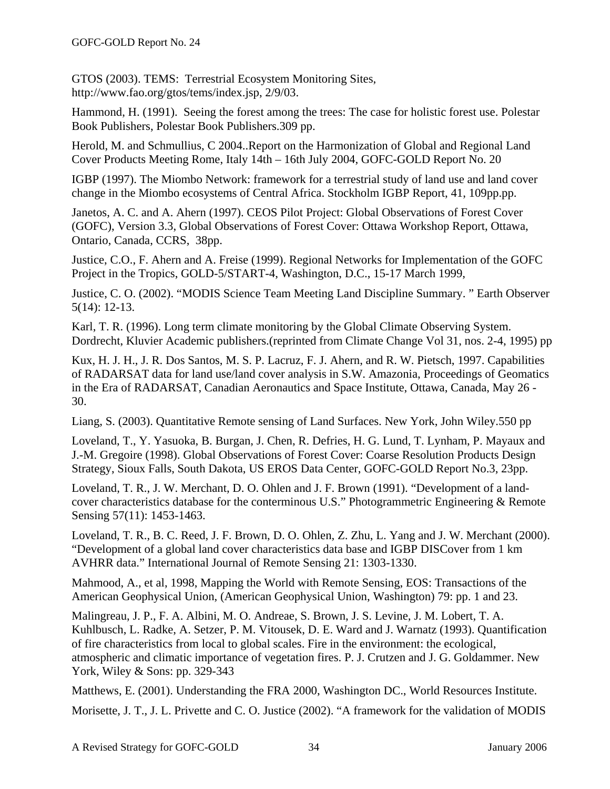GTOS (2003). TEMS: Terrestrial Ecosystem Monitoring Sites, http://www.fao.org/gtos/tems/index.jsp, 2/9/03.

Hammond, H. (1991). Seeing the forest among the trees: The case for holistic forest use. Polestar Book Publishers, Polestar Book Publishers.309 pp.

Herold, M. and Schmullius, C 2004..Report on the Harmonization of Global and Regional Land Cover Products Meeting Rome, Italy 14th – 16th July 2004, GOFC-GOLD Report No. 20

IGBP (1997). The Miombo Network: framework for a terrestrial study of land use and land cover change in the Miombo ecosystems of Central Africa. Stockholm IGBP Report, 41, 109pp.pp.

Janetos, A. C. and A. Ahern (1997). CEOS Pilot Project: Global Observations of Forest Cover (GOFC), Version 3.3, Global Observations of Forest Cover: Ottawa Workshop Report, Ottawa, Ontario, Canada, CCRS, 38pp.

Justice, C.O., F. Ahern and A. Freise (1999). Regional Networks for Implementation of the GOFC Project in the Tropics, GOLD-5/START-4, Washington, D.C., 15-17 March 1999,

Justice, C. O. (2002). "MODIS Science Team Meeting Land Discipline Summary. " Earth Observer 5(14): 12-13.

Karl, T. R. (1996). Long term climate monitoring by the Global Climate Observing System. Dordrecht, Kluvier Academic publishers.(reprinted from Climate Change Vol 31, nos. 2-4, 1995) pp

Kux, H. J. H., J. R. Dos Santos, M. S. P. Lacruz, F. J. Ahern, and R. W. Pietsch, 1997. Capabilities of RADARSAT data for land use/land cover analysis in S.W. Amazonia, Proceedings of Geomatics in the Era of RADARSAT, Canadian Aeronautics and Space Institute, Ottawa, Canada, May 26 - 30.

Liang, S. (2003). Quantitative Remote sensing of Land Surfaces. New York, John Wiley.550 pp

Loveland, T., Y. Yasuoka, B. Burgan, J. Chen, R. Defries, H. G. Lund, T. Lynham, P. Mayaux and J.-M. Gregoire (1998). Global Observations of Forest Cover: Coarse Resolution Products Design Strategy, Sioux Falls, South Dakota, US EROS Data Center, GOFC-GOLD Report No.3, 23pp.

Loveland, T. R., J. W. Merchant, D. O. Ohlen and J. F. Brown (1991). "Development of a landcover characteristics database for the conterminous U.S." Photogrammetric Engineering & Remote Sensing 57(11): 1453-1463.

Loveland, T. R., B. C. Reed, J. F. Brown, D. O. Ohlen, Z. Zhu, L. Yang and J. W. Merchant (2000). "Development of a global land cover characteristics data base and IGBP DISCover from 1 km AVHRR data." International Journal of Remote Sensing 21: 1303-1330.

Mahmood, A., et al, 1998, Mapping the World with Remote Sensing, EOS: Transactions of the American Geophysical Union, (American Geophysical Union, Washington) 79: pp. 1 and 23.

Malingreau, J. P., F. A. Albini, M. O. Andreae, S. Brown, J. S. Levine, J. M. Lobert, T. A. Kuhlbusch, L. Radke, A. Setzer, P. M. Vitousek, D. E. Ward and J. Warnatz (1993). Quantification of fire characteristics from local to global scales. Fire in the environment: the ecological, atmospheric and climatic importance of vegetation fires. P. J. Crutzen and J. G. Goldammer. New York, Wiley & Sons: pp. 329-343

Matthews, E. (2001). Understanding the FRA 2000, Washington DC., World Resources Institute.

Morisette, J. T., J. L. Privette and C. O. Justice (2002). "A framework for the validation of MODIS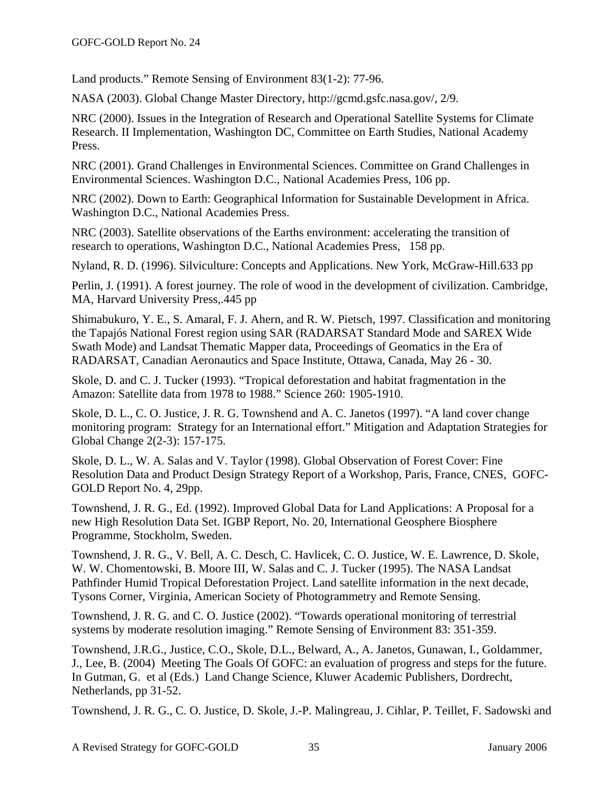Land products." Remote Sensing of Environment 83(1-2): 77-96.

NASA (2003). Global Change Master Directory, http://gcmd.gsfc.nasa.gov/, 2/9.

NRC (2000). Issues in the Integration of Research and Operational Satellite Systems for Climate Research. II Implementation, Washington DC, Committee on Earth Studies, National Academy Press.

NRC (2001). Grand Challenges in Environmental Sciences. Committee on Grand Challenges in Environmental Sciences. Washington D.C., National Academies Press, 106 pp.

NRC (2002). Down to Earth: Geographical Information for Sustainable Development in Africa. Washington D.C., National Academies Press.

NRC (2003). Satellite observations of the Earths environment: accelerating the transition of research to operations, Washington D.C., National Academies Press, 158 pp.

Nyland, R. D. (1996). Silviculture: Concepts and Applications. New York, McGraw-Hill.633 pp

Perlin, J. (1991). A forest journey. The role of wood in the development of civilization. Cambridge, MA, Harvard University Press,.445 pp

Shimabukuro, Y. E., S. Amaral, F. J. Ahern, and R. W. Pietsch, 1997. Classification and monitoring the Tapajós National Forest region using SAR (RADARSAT Standard Mode and SAREX Wide Swath Mode) and Landsat Thematic Mapper data, Proceedings of Geomatics in the Era of RADARSAT, Canadian Aeronautics and Space Institute, Ottawa, Canada, May 26 - 30.

Skole, D. and C. J. Tucker (1993). "Tropical deforestation and habitat fragmentation in the Amazon: Satellite data from 1978 to 1988." Science 260: 1905-1910.

Skole, D. L., C. O. Justice, J. R. G. Townshend and A. C. Janetos (1997). "A land cover change monitoring program: Strategy for an International effort." Mitigation and Adaptation Strategies for Global Change 2(2-3): 157-175.

Skole, D. L., W. A. Salas and V. Taylor (1998). Global Observation of Forest Cover: Fine Resolution Data and Product Design Strategy Report of a Workshop, Paris, France, CNES, GOFC-GOLD Report No. 4, 29pp.

Townshend, J. R. G., Ed. (1992). Improved Global Data for Land Applications: A Proposal for a new High Resolution Data Set. IGBP Report, No. 20, International Geosphere Biosphere Programme, Stockholm, Sweden.

Townshend, J. R. G., V. Bell, A. C. Desch, C. Havlicek, C. O. Justice, W. E. Lawrence, D. Skole, W. W. Chomentowski, B. Moore III, W. Salas and C. J. Tucker (1995). The NASA Landsat Pathfinder Humid Tropical Deforestation Project. Land satellite information in the next decade, Tysons Corner, Virginia, American Society of Photogrammetry and Remote Sensing.

Townshend, J. R. G. and C. O. Justice (2002). "Towards operational monitoring of terrestrial systems by moderate resolution imaging." Remote Sensing of Environment 83: 351-359.

Townshend, J.R.G., Justice, C.O., Skole, D.L., Belward, A., A. Janetos, Gunawan, I., Goldammer, J., Lee, B. (2004) Meeting The Goals Of GOFC: an evaluation of progress and steps for the future. In Gutman, G. et al (Eds.) Land Change Science, Kluwer Academic Publishers, Dordrecht, Netherlands, pp 31-52.

Townshend, J. R. G., C. O. Justice, D. Skole, J.-P. Malingreau, J. Cihlar, P. Teillet, F. Sadowski and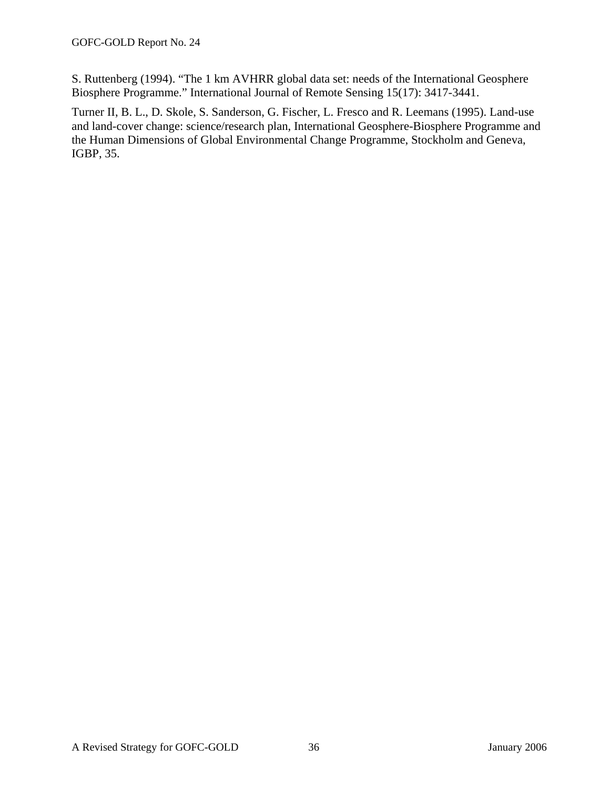S. Ruttenberg (1994). "The 1 km AVHRR global data set: needs of the International Geosphere Biosphere Programme." International Journal of Remote Sensing 15(17): 3417-3441.

Turner II, B. L., D. Skole, S. Sanderson, G. Fischer, L. Fresco and R. Leemans (1995). Land-use and land-cover change: science/research plan, International Geosphere-Biosphere Programme and the Human Dimensions of Global Environmental Change Programme, Stockholm and Geneva, IGBP, 35.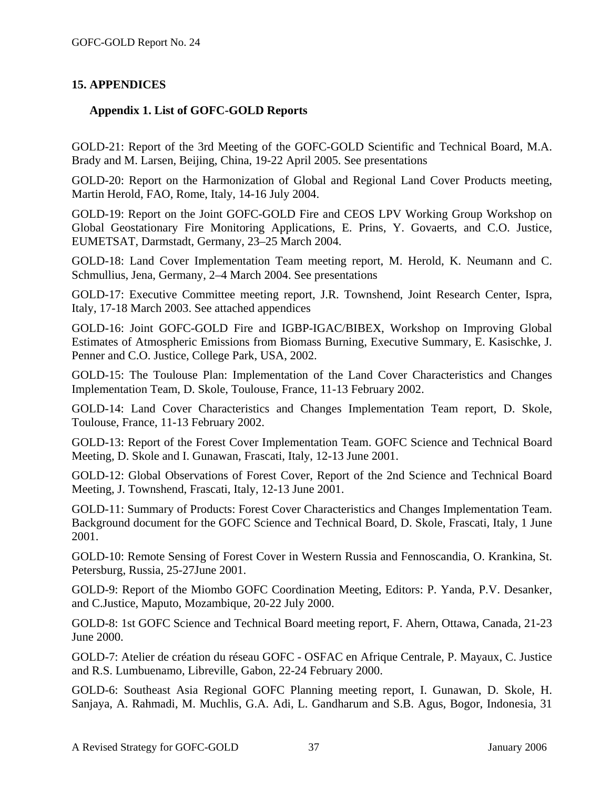### **15. APPENDICES**

### **Appendix 1. List of GOFC-GOLD Reports**

GOLD-21: Report of the 3rd Meeting of the GOFC-GOLD Scientific and Technical Board, M.A. Brady and M. Larsen, Beijing, China, 19-22 April 2005. See presentations

GOLD-20: Report on the Harmonization of Global and Regional Land Cover Products meeting, Martin Herold, FAO, Rome, Italy, 14-16 July 2004.

GOLD-19: Report on the Joint GOFC-GOLD Fire and CEOS LPV Working Group Workshop on Global Geostationary Fire Monitoring Applications, E. Prins, Y. Govaerts, and C.O. Justice, EUMETSAT, Darmstadt, Germany, 23–25 March 2004.

GOLD-18: Land Cover Implementation Team meeting report, M. Herold, K. Neumann and C. Schmullius, Jena, Germany, 2–4 March 2004. See presentations

GOLD-17: Executive Committee meeting report, J.R. Townshend, Joint Research Center, Ispra, Italy, 17-18 March 2003. See attached appendices

GOLD-16: Joint GOFC-GOLD Fire and IGBP-IGAC/BIBEX, Workshop on Improving Global Estimates of Atmospheric Emissions from Biomass Burning, Executive Summary, E. Kasischke, J. Penner and C.O. Justice, College Park, USA, 2002.

GOLD-15: The Toulouse Plan: Implementation of the Land Cover Characteristics and Changes Implementation Team, D. Skole, Toulouse, France, 11-13 February 2002.

GOLD-14: Land Cover Characteristics and Changes Implementation Team report, D. Skole, Toulouse, France, 11-13 February 2002.

GOLD-13: Report of the Forest Cover Implementation Team. GOFC Science and Technical Board Meeting, D. Skole and I. Gunawan, Frascati, Italy, 12-13 June 2001.

GOLD-12: Global Observations of Forest Cover, Report of the 2nd Science and Technical Board Meeting, J. Townshend, Frascati, Italy, 12-13 June 2001.

GOLD-11: Summary of Products: Forest Cover Characteristics and Changes Implementation Team. Background document for the GOFC Science and Technical Board, D. Skole, Frascati, Italy, 1 June 2001.

GOLD-10: Remote Sensing of Forest Cover in Western Russia and Fennoscandia, O. Krankina, St. Petersburg, Russia, 25-27June 2001.

GOLD-9: Report of the Miombo GOFC Coordination Meeting, Editors: P. Yanda, P.V. Desanker, and C.Justice, Maputo, Mozambique, 20-22 July 2000.

GOLD-8: 1st GOFC Science and Technical Board meeting report, F. Ahern, Ottawa, Canada, 21-23 June 2000.

GOLD-7: Atelier de création du réseau GOFC - OSFAC en Afrique Centrale, P. Mayaux, C. Justice and R.S. Lumbuenamo, Libreville, Gabon, 22-24 February 2000.

GOLD-6: Southeast Asia Regional GOFC Planning meeting report, I. Gunawan, D. Skole, H. Sanjaya, A. Rahmadi, M. Muchlis, G.A. Adi, L. Gandharum and S.B. Agus, Bogor, Indonesia, 31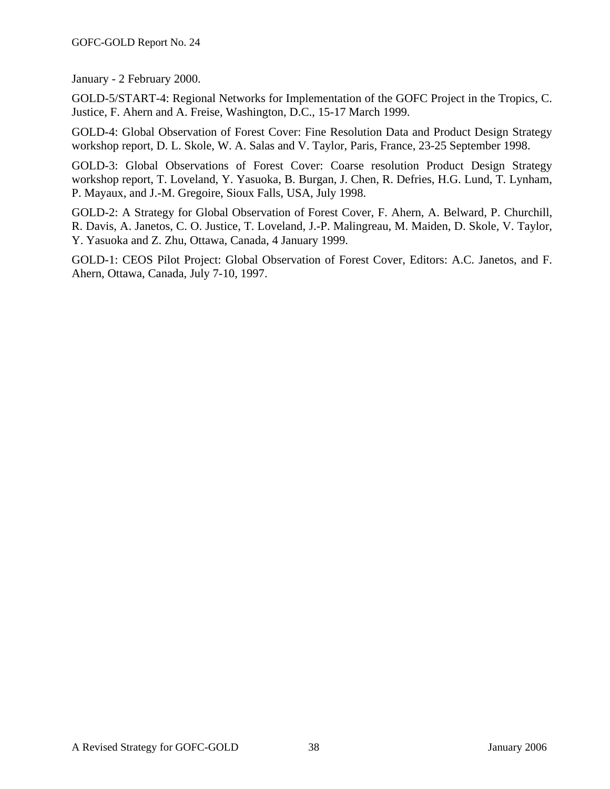January - 2 February 2000.

GOLD-5/START-4: Regional Networks for Implementation of the GOFC Project in the Tropics, C. Justice, F. Ahern and A. Freise, Washington, D.C., 15-17 March 1999.

GOLD-4: Global Observation of Forest Cover: Fine Resolution Data and Product Design Strategy workshop report, D. L. Skole, W. A. Salas and V. Taylor, Paris, France, 23-25 September 1998.

GOLD-3: Global Observations of Forest Cover: Coarse resolution Product Design Strategy workshop report, T. Loveland, Y. Yasuoka, B. Burgan, J. Chen, R. Defries, H.G. Lund, T. Lynham, P. Mayaux, and J.-M. Gregoire, Sioux Falls, USA, July 1998.

GOLD-2: A Strategy for Global Observation of Forest Cover, F. Ahern, A. Belward, P. Churchill, R. Davis, A. Janetos, C. O. Justice, T. Loveland, J.-P. Malingreau, M. Maiden, D. Skole, V. Taylor, Y. Yasuoka and Z. Zhu, Ottawa, Canada, 4 January 1999.

GOLD-1: CEOS Pilot Project: Global Observation of Forest Cover, Editors: A.C. Janetos, and F. Ahern, Ottawa, Canada, July 7-10, 1997.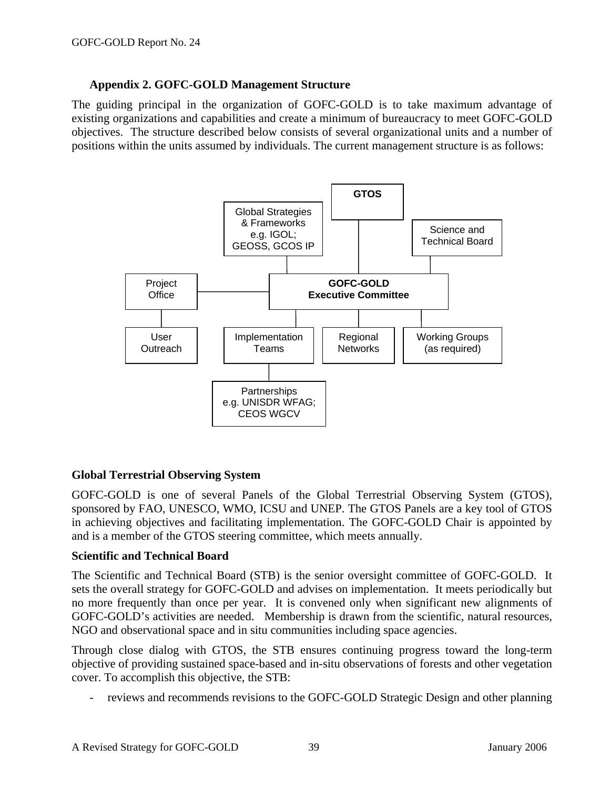### **Appendix 2. GOFC-GOLD Management Structure**

The guiding principal in the organization of GOFC-GOLD is to take maximum advantage of existing organizations and capabilities and create a minimum of bureaucracy to meet GOFC-GOLD objectives. The structure described below consists of several organizational units and a number of positions within the units assumed by individuals. The current management structure is as follows:



### **Global Terrestrial Observing System**

GOFC-GOLD is one of several Panels of the Global Terrestrial Observing System (GTOS), sponsored by FAO, UNESCO, WMO, ICSU and UNEP. The GTOS Panels are a key tool of GTOS in achieving objectives and facilitating implementation. The GOFC-GOLD Chair is appointed by and is a member of the GTOS steering committee, which meets annually.

#### **Scientific and Technical Board**

The Scientific and Technical Board (STB) is the senior oversight committee of GOFC-GOLD. It sets the overall strategy for GOFC-GOLD and advises on implementation. It meets periodically but no more frequently than once per year. It is convened only when significant new alignments of GOFC-GOLD's activities are needed. Membership is drawn from the scientific, natural resources, NGO and observational space and in situ communities including space agencies.

Through close dialog with GTOS, the STB ensures continuing progress toward the long-term objective of providing sustained space-based and in-situ observations of forests and other vegetation cover. To accomplish this objective, the STB:

reviews and recommends revisions to the GOFC-GOLD Strategic Design and other planning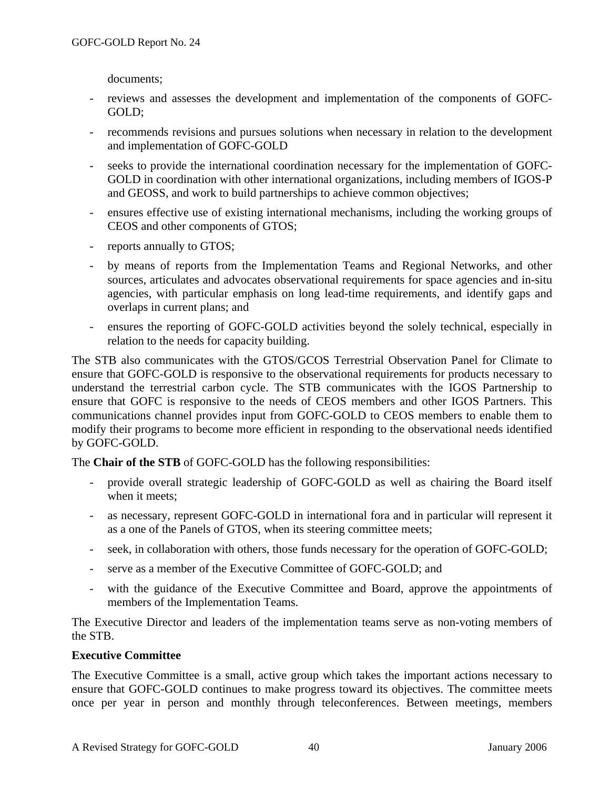documents;

- reviews and assesses the development and implementation of the components of GOFC-GOLD;
- recommends revisions and pursues solutions when necessary in relation to the development and implementation of GOFC-GOLD
- seeks to provide the international coordination necessary for the implementation of GOFC-GOLD in coordination with other international organizations, including members of IGOS-P and GEOSS, and work to build partnerships to achieve common objectives;
- ensures effective use of existing international mechanisms, including the working groups of CEOS and other components of GTOS;
- reports annually to GTOS;
- by means of reports from the Implementation Teams and Regional Networks, and other sources, articulates and advocates observational requirements for space agencies and in-situ agencies, with particular emphasis on long lead-time requirements, and identify gaps and overlaps in current plans; and
- ensures the reporting of GOFC-GOLD activities beyond the solely technical, especially in relation to the needs for capacity building.

The STB also communicates with the GTOS/GCOS Terrestrial Observation Panel for Climate to ensure that GOFC-GOLD is responsive to the observational requirements for products necessary to understand the terrestrial carbon cycle. The STB communicates with the IGOS Partnership to ensure that GOFC is responsive to the needs of CEOS members and other IGOS Partners. This communications channel provides input from GOFC-GOLD to CEOS members to enable them to modify their programs to become more efficient in responding to the observational needs identified by GOFC-GOLD.

The **Chair of the STB** of GOFC-GOLD has the following responsibilities:

- provide overall strategic leadership of GOFC-GOLD as well as chairing the Board itself when it meets;
- as necessary, represent GOFC-GOLD in international fora and in particular will represent it as a one of the Panels of GTOS, when its steering committee meets;
- seek, in collaboration with others, those funds necessary for the operation of GOFC-GOLD;
- serve as a member of the Executive Committee of GOFC-GOLD; and
- with the guidance of the Executive Committee and Board, approve the appointments of members of the Implementation Teams.

The Executive Director and leaders of the implementation teams serve as non-voting members of the STB.

#### **Executive Committee**

The Executive Committee is a small, active group which takes the important actions necessary to ensure that GOFC-GOLD continues to make progress toward its objectives. The committee meets once per year in person and monthly through teleconferences. Between meetings, members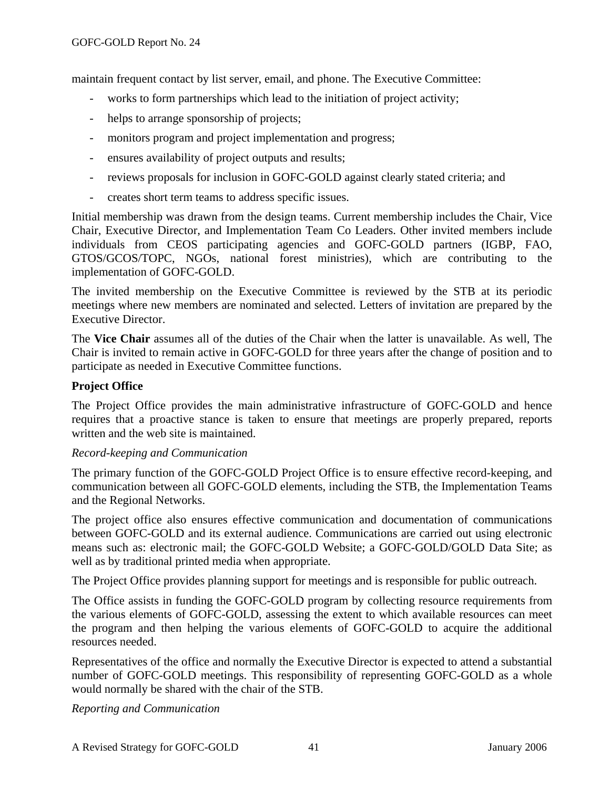maintain frequent contact by list server, email, and phone. The Executive Committee:

- works to form partnerships which lead to the initiation of project activity;
- helps to arrange sponsorship of projects;
- monitors program and project implementation and progress;
- ensures availability of project outputs and results;
- reviews proposals for inclusion in GOFC-GOLD against clearly stated criteria; and
- creates short term teams to address specific issues.

Initial membership was drawn from the design teams. Current membership includes the Chair, Vice Chair, Executive Director, and Implementation Team Co Leaders. Other invited members include individuals from CEOS participating agencies and GOFC-GOLD partners (IGBP, FAO, GTOS/GCOS/TOPC, NGOs, national forest ministries), which are contributing to the implementation of GOFC-GOLD.

The invited membership on the Executive Committee is reviewed by the STB at its periodic meetings where new members are nominated and selected. Letters of invitation are prepared by the Executive Director.

The **Vice Chair** assumes all of the duties of the Chair when the latter is unavailable. As well, The Chair is invited to remain active in GOFC-GOLD for three years after the change of position and to participate as needed in Executive Committee functions.

### **Project Office**

The Project Office provides the main administrative infrastructure of GOFC-GOLD and hence requires that a proactive stance is taken to ensure that meetings are properly prepared, reports written and the web site is maintained.

#### *Record-keeping and Communication*

The primary function of the GOFC-GOLD Project Office is to ensure effective record-keeping, and communication between all GOFC-GOLD elements, including the STB, the Implementation Teams and the Regional Networks.

The project office also ensures effective communication and documentation of communications between GOFC-GOLD and its external audience. Communications are carried out using electronic means such as: electronic mail; the GOFC-GOLD Website; a GOFC-GOLD/GOLD Data Site; as well as by traditional printed media when appropriate.

The Project Office provides planning support for meetings and is responsible for public outreach.

The Office assists in funding the GOFC-GOLD program by collecting resource requirements from the various elements of GOFC-GOLD, assessing the extent to which available resources can meet the program and then helping the various elements of GOFC-GOLD to acquire the additional resources needed.

Representatives of the office and normally the Executive Director is expected to attend a substantial number of GOFC-GOLD meetings. This responsibility of representing GOFC-GOLD as a whole would normally be shared with the chair of the STB.

*Reporting and Communication*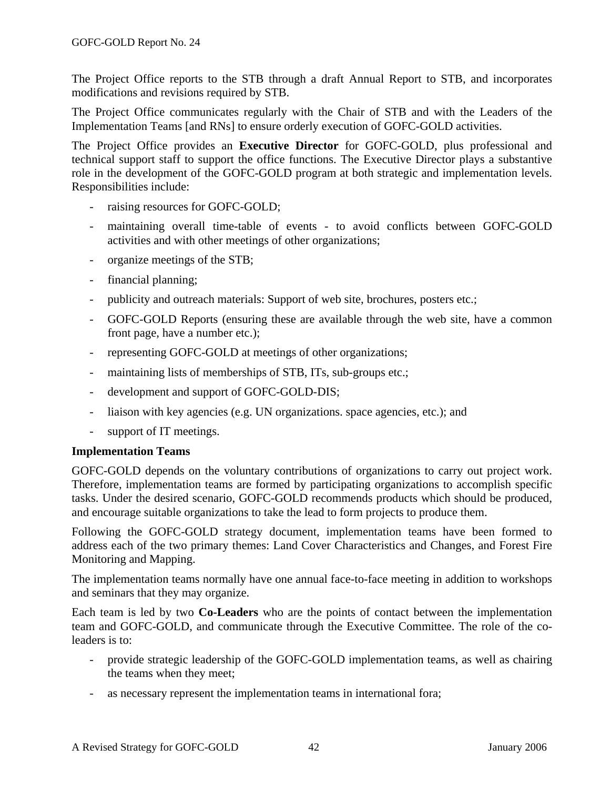The Project Office reports to the STB through a draft Annual Report to STB, and incorporates modifications and revisions required by STB.

The Project Office communicates regularly with the Chair of STB and with the Leaders of the Implementation Teams [and RNs] to ensure orderly execution of GOFC-GOLD activities.

The Project Office provides an **Executive Director** for GOFC-GOLD, plus professional and technical support staff to support the office functions. The Executive Director plays a substantive role in the development of the GOFC-GOLD program at both strategic and implementation levels. Responsibilities include:

- raising resources for GOFC-GOLD;
- maintaining overall time-table of events to avoid conflicts between GOFC-GOLD activities and with other meetings of other organizations;
- organize meetings of the STB;
- financial planning;
- publicity and outreach materials: Support of web site, brochures, posters etc.;
- GOFC-GOLD Reports (ensuring these are available through the web site, have a common front page, have a number etc.);
- representing GOFC-GOLD at meetings of other organizations;
- maintaining lists of memberships of STB, ITs, sub-groups etc.;
- development and support of GOFC-GOLD-DIS;
- liaison with key agencies (e.g. UN organizations. space agencies, etc.); and
- support of IT meetings.

#### **Implementation Teams**

GOFC-GOLD depends on the voluntary contributions of organizations to carry out project work. Therefore, implementation teams are formed by participating organizations to accomplish specific tasks. Under the desired scenario, GOFC-GOLD recommends products which should be produced, and encourage suitable organizations to take the lead to form projects to produce them.

Following the GOFC-GOLD strategy document, implementation teams have been formed to address each of the two primary themes: Land Cover Characteristics and Changes, and Forest Fire Monitoring and Mapping.

The implementation teams normally have one annual face-to-face meeting in addition to workshops and seminars that they may organize.

Each team is led by two **Co-Leaders** who are the points of contact between the implementation team and GOFC-GOLD, and communicate through the Executive Committee. The role of the coleaders is to:

- provide strategic leadership of the GOFC-GOLD implementation teams, as well as chairing the teams when they meet;
- as necessary represent the implementation teams in international fora;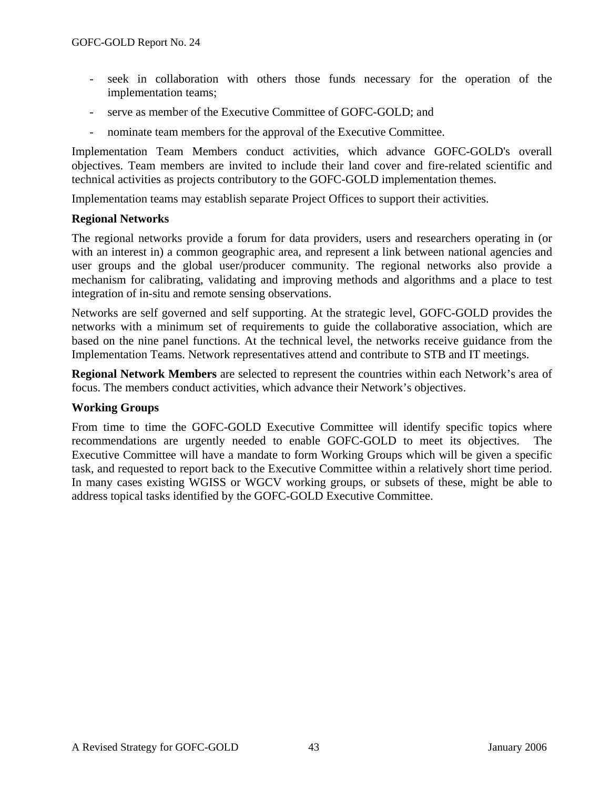- seek in collaboration with others those funds necessary for the operation of the implementation teams;
- serve as member of the Executive Committee of GOFC-GOLD; and
- nominate team members for the approval of the Executive Committee.

Implementation Team Members conduct activities, which advance GOFC-GOLD's overall objectives. Team members are invited to include their land cover and fire-related scientific and technical activities as projects contributory to the GOFC-GOLD implementation themes.

Implementation teams may establish separate Project Offices to support their activities.

#### **Regional Networks**

The regional networks provide a forum for data providers, users and researchers operating in (or with an interest in) a common geographic area, and represent a link between national agencies and user groups and the global user/producer community. The regional networks also provide a mechanism for calibrating, validating and improving methods and algorithms and a place to test integration of in-situ and remote sensing observations.

Networks are self governed and self supporting. At the strategic level, GOFC-GOLD provides the networks with a minimum set of requirements to guide the collaborative association, which are based on the nine panel functions. At the technical level, the networks receive guidance from the Implementation Teams. Network representatives attend and contribute to STB and IT meetings.

**Regional Network Members** are selected to represent the countries within each Network's area of focus. The members conduct activities, which advance their Network's objectives.

#### **Working Groups**

From time to time the GOFC-GOLD Executive Committee will identify specific topics where recommendations are urgently needed to enable GOFC-GOLD to meet its objectives. The Executive Committee will have a mandate to form Working Groups which will be given a specific task, and requested to report back to the Executive Committee within a relatively short time period. In many cases existing WGISS or WGCV working groups, or subsets of these, might be able to address topical tasks identified by the GOFC-GOLD Executive Committee.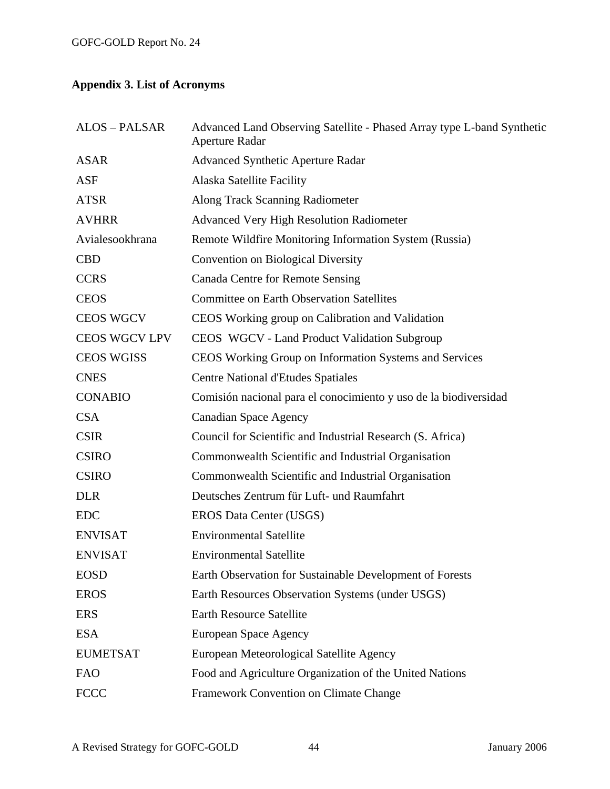# **Appendix 3. List of Acronyms**

| <b>ALOS - PALSAR</b> | Advanced Land Observing Satellite - Phased Array type L-band Synthetic<br><b>Aperture Radar</b> |
|----------------------|-------------------------------------------------------------------------------------------------|
| <b>ASAR</b>          | <b>Advanced Synthetic Aperture Radar</b>                                                        |
| <b>ASF</b>           | Alaska Satellite Facility                                                                       |
| <b>ATSR</b>          | Along Track Scanning Radiometer                                                                 |
| <b>AVHRR</b>         | <b>Advanced Very High Resolution Radiometer</b>                                                 |
| Avialesookhrana      | Remote Wildfire Monitoring Information System (Russia)                                          |
| <b>CBD</b>           | <b>Convention on Biological Diversity</b>                                                       |
| <b>CCRS</b>          | <b>Canada Centre for Remote Sensing</b>                                                         |
| <b>CEOS</b>          | <b>Committee on Earth Observation Satellites</b>                                                |
| <b>CEOS WGCV</b>     | CEOS Working group on Calibration and Validation                                                |
| <b>CEOS WGCV LPV</b> | CEOS WGCV - Land Product Validation Subgroup                                                    |
| <b>CEOS WGISS</b>    | CEOS Working Group on Information Systems and Services                                          |
| <b>CNES</b>          | <b>Centre National d'Etudes Spatiales</b>                                                       |
| <b>CONABIO</b>       | Comisión nacional para el conocimiento y uso de la biodiversidad                                |
| <b>CSA</b>           | <b>Canadian Space Agency</b>                                                                    |
| <b>CSIR</b>          | Council for Scientific and Industrial Research (S. Africa)                                      |
| <b>CSIRO</b>         | Commonwealth Scientific and Industrial Organisation                                             |
| <b>CSIRO</b>         | Commonwealth Scientific and Industrial Organisation                                             |
| <b>DLR</b>           | Deutsches Zentrum für Luft- und Raumfahrt                                                       |
| <b>EDC</b>           | EROS Data Center (USGS)                                                                         |
| <b>ENVISAT</b>       | <b>Environmental Satellite</b>                                                                  |
| <b>ENVISAT</b>       | <b>Environmental Satellite</b>                                                                  |
| <b>EOSD</b>          | Earth Observation for Sustainable Development of Forests                                        |
| <b>EROS</b>          | Earth Resources Observation Systems (under USGS)                                                |
| <b>ERS</b>           | Earth Resource Satellite                                                                        |
| <b>ESA</b>           | <b>European Space Agency</b>                                                                    |
| <b>EUMETSAT</b>      | European Meteorological Satellite Agency                                                        |
| <b>FAO</b>           | Food and Agriculture Organization of the United Nations                                         |
| <b>FCCC</b>          | Framework Convention on Climate Change                                                          |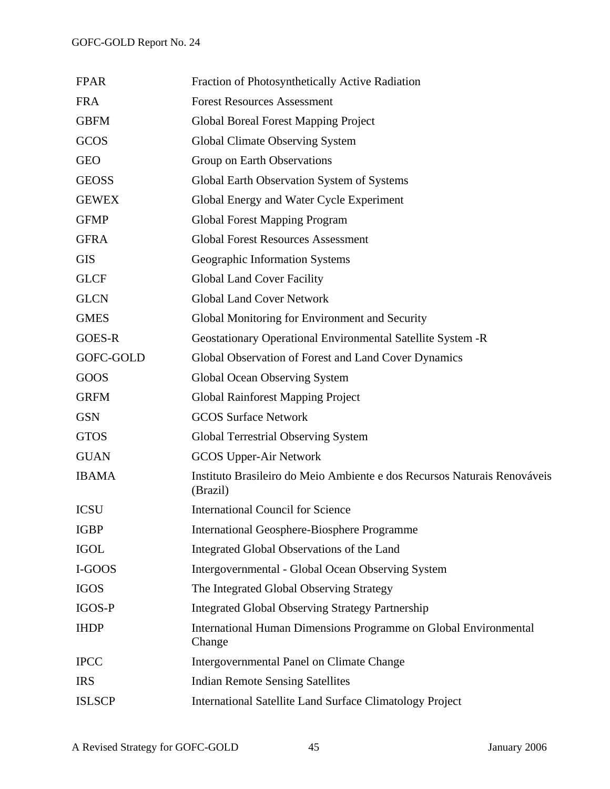| <b>FPAR</b>   | Fraction of Photosynthetically Active Radiation                                      |
|---------------|--------------------------------------------------------------------------------------|
| <b>FRA</b>    | <b>Forest Resources Assessment</b>                                                   |
| <b>GBFM</b>   | <b>Global Boreal Forest Mapping Project</b>                                          |
| GCOS          | <b>Global Climate Observing System</b>                                               |
| <b>GEO</b>    | Group on Earth Observations                                                          |
| <b>GEOSS</b>  | Global Earth Observation System of Systems                                           |
| <b>GEWEX</b>  | Global Energy and Water Cycle Experiment                                             |
| <b>GFMP</b>   | <b>Global Forest Mapping Program</b>                                                 |
| <b>GFRA</b>   | <b>Global Forest Resources Assessment</b>                                            |
| <b>GIS</b>    | Geographic Information Systems                                                       |
| <b>GLCF</b>   | <b>Global Land Cover Facility</b>                                                    |
| <b>GLCN</b>   | <b>Global Land Cover Network</b>                                                     |
| <b>GMES</b>   | Global Monitoring for Environment and Security                                       |
| <b>GOES-R</b> | Geostationary Operational Environmental Satellite System -R                          |
| GOFC-GOLD     | Global Observation of Forest and Land Cover Dynamics                                 |
| GOOS          | Global Ocean Observing System                                                        |
| <b>GRFM</b>   | <b>Global Rainforest Mapping Project</b>                                             |
| <b>GSN</b>    | <b>GCOS Surface Network</b>                                                          |
| <b>GTOS</b>   | <b>Global Terrestrial Observing System</b>                                           |
| <b>GUAN</b>   | <b>GCOS Upper-Air Network</b>                                                        |
| <b>IBAMA</b>  | Instituto Brasileiro do Meio Ambiente e dos Recursos Naturais Renováveis<br>(Brazil) |
| <b>ICSU</b>   | <b>International Council for Science</b>                                             |
| <b>IGBP</b>   | <b>International Geosphere-Biosphere Programme</b>                                   |
| <b>IGOL</b>   | Integrated Global Observations of the Land                                           |
| I-GOOS        | Intergovernmental - Global Ocean Observing System                                    |
| <b>IGOS</b>   | The Integrated Global Observing Strategy                                             |
| <b>IGOS-P</b> | <b>Integrated Global Observing Strategy Partnership</b>                              |
| <b>IHDP</b>   | International Human Dimensions Programme on Global Environmental<br>Change           |
| <b>IPCC</b>   | Intergovernmental Panel on Climate Change                                            |
| <b>IRS</b>    | <b>Indian Remote Sensing Satellites</b>                                              |
| <b>ISLSCP</b> | International Satellite Land Surface Climatology Project                             |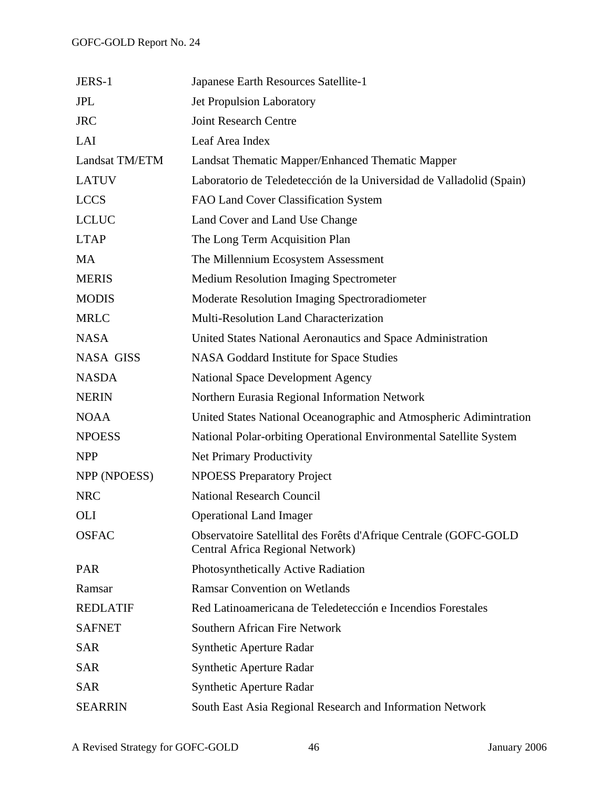| JERS-1           | Japanese Earth Resources Satellite-1                                                                 |
|------------------|------------------------------------------------------------------------------------------------------|
| <b>JPL</b>       | Jet Propulsion Laboratory                                                                            |
| <b>JRC</b>       | <b>Joint Research Centre</b>                                                                         |
| LAI              | Leaf Area Index                                                                                      |
| Landsat TM/ETM   | Landsat Thematic Mapper/Enhanced Thematic Mapper                                                     |
| <b>LATUV</b>     | Laboratorio de Teledetección de la Universidad de Valladolid (Spain)                                 |
| <b>LCCS</b>      | FAO Land Cover Classification System                                                                 |
| <b>LCLUC</b>     | Land Cover and Land Use Change                                                                       |
| <b>LTAP</b>      | The Long Term Acquisition Plan                                                                       |
| <b>MA</b>        | The Millennium Ecosystem Assessment                                                                  |
| <b>MERIS</b>     | <b>Medium Resolution Imaging Spectrometer</b>                                                        |
| <b>MODIS</b>     | Moderate Resolution Imaging Spectroradiometer                                                        |
| <b>MRLC</b>      | Multi-Resolution Land Characterization                                                               |
| <b>NASA</b>      | United States National Aeronautics and Space Administration                                          |
| <b>NASA GISS</b> | NASA Goddard Institute for Space Studies                                                             |
| <b>NASDA</b>     | <b>National Space Development Agency</b>                                                             |
| <b>NERIN</b>     | Northern Eurasia Regional Information Network                                                        |
| <b>NOAA</b>      | United States National Oceanographic and Atmospheric Adimintration                                   |
| <b>NPOESS</b>    | National Polar-orbiting Operational Environmental Satellite System                                   |
| <b>NPP</b>       | <b>Net Primary Productivity</b>                                                                      |
| NPP (NPOESS)     | <b>NPOESS Preparatory Project</b>                                                                    |
| <b>NRC</b>       | <b>National Research Council</b>                                                                     |
| <b>OLI</b>       | <b>Operational Land Imager</b>                                                                       |
| <b>OSFAC</b>     | Observatoire Satellital des Forêts d'Afrique Centrale (GOFC-GOLD<br>Central Africa Regional Network) |
| <b>PAR</b>       | Photosynthetically Active Radiation                                                                  |
| Ramsar           | <b>Ramsar Convention on Wetlands</b>                                                                 |
| <b>REDLATIF</b>  | Red Latinoamericana de Teledetección e Incendios Forestales                                          |
| <b>SAFNET</b>    | Southern African Fire Network                                                                        |
| <b>SAR</b>       | <b>Synthetic Aperture Radar</b>                                                                      |
| <b>SAR</b>       | <b>Synthetic Aperture Radar</b>                                                                      |
| <b>SAR</b>       | <b>Synthetic Aperture Radar</b>                                                                      |
| <b>SEARRIN</b>   | South East Asia Regional Research and Information Network                                            |